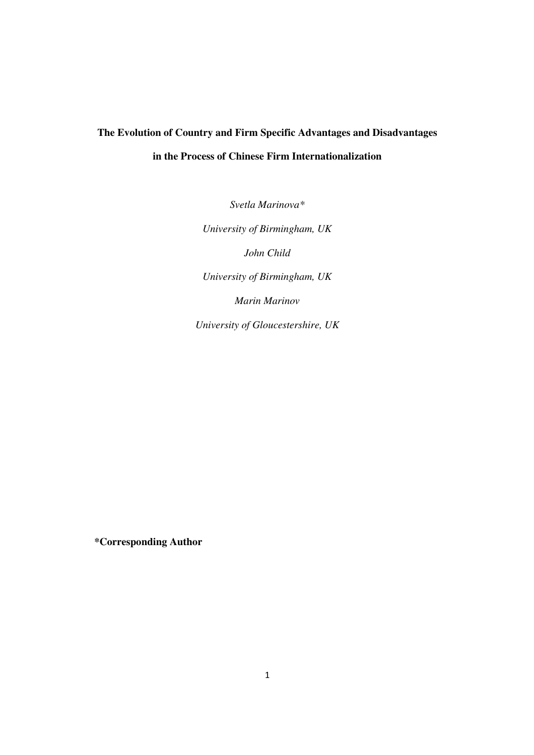# **The Evolution of Country and Firm Specific Advantages and Disadvantages in the Process of Chinese Firm Internationalization**

*Svetla Marinova\* University of Birmingham, UK John Child University of Birmingham, UK Marin Marinov University of Gloucestershire, UK* 

**\*Corresponding Author**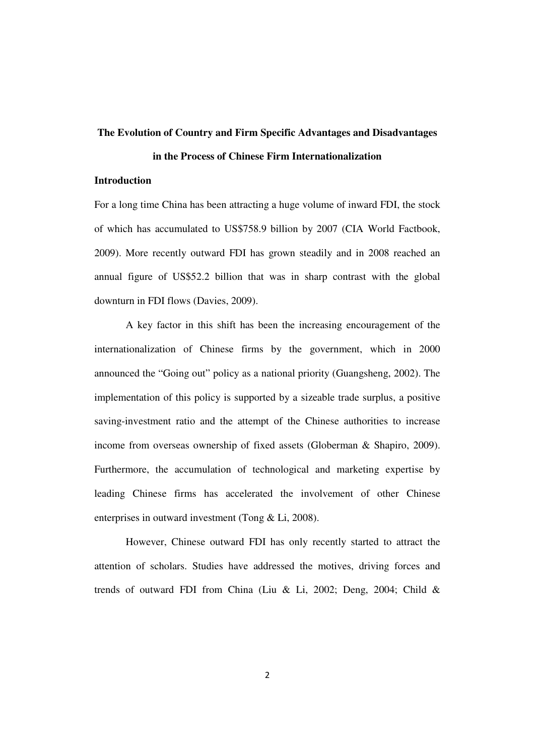# **The Evolution of Country and Firm Specific Advantages and Disadvantages**

# **in the Process of Chinese Firm Internationalization**

# **Introduction**

For a long time China has been attracting a huge volume of inward FDI, the stock of which has accumulated to US\$758.9 billion by 2007 (CIA World Factbook, 2009). More recently outward FDI has grown steadily and in 2008 reached an annual figure of US\$52.2 billion that was in sharp contrast with the global downturn in FDI flows (Davies, 2009).

A key factor in this shift has been the increasing encouragement of the internationalization of Chinese firms by the government, which in 2000 announced the "Going out" policy as a national priority (Guangsheng, 2002). The implementation of this policy is supported by a sizeable trade surplus, a positive saving-investment ratio and the attempt of the Chinese authorities to increase income from overseas ownership of fixed assets (Globerman & Shapiro, 2009). Furthermore, the accumulation of technological and marketing expertise by leading Chinese firms has accelerated the involvement of other Chinese enterprises in outward investment (Tong & Li, 2008).

However, Chinese outward FDI has only recently started to attract the attention of scholars. Studies have addressed the motives, driving forces and trends of outward FDI from China (Liu & Li, 2002; Deng, 2004; Child &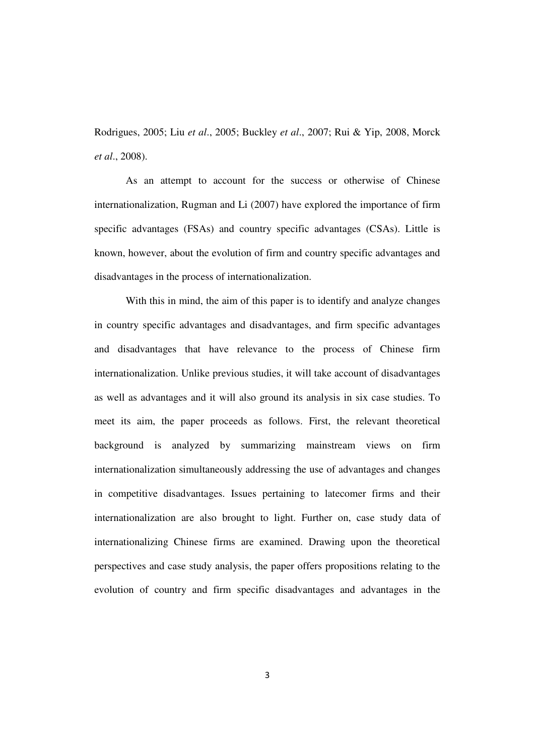Rodrigues, 2005; Liu *et al*., 2005; Buckley *et al*., 2007; Rui & Yip, 2008, Morck *et al*., 2008).

As an attempt to account for the success or otherwise of Chinese internationalization, Rugman and Li (2007) have explored the importance of firm specific advantages (FSAs) and country specific advantages (CSAs). Little is known, however, about the evolution of firm and country specific advantages and disadvantages in the process of internationalization.

With this in mind, the aim of this paper is to identify and analyze changes in country specific advantages and disadvantages, and firm specific advantages and disadvantages that have relevance to the process of Chinese firm internationalization. Unlike previous studies, it will take account of disadvantages as well as advantages and it will also ground its analysis in six case studies. To meet its aim, the paper proceeds as follows. First, the relevant theoretical background is analyzed by summarizing mainstream views on firm internationalization simultaneously addressing the use of advantages and changes in competitive disadvantages. Issues pertaining to latecomer firms and their internationalization are also brought to light. Further on, case study data of internationalizing Chinese firms are examined. Drawing upon the theoretical perspectives and case study analysis, the paper offers propositions relating to the evolution of country and firm specific disadvantages and advantages in the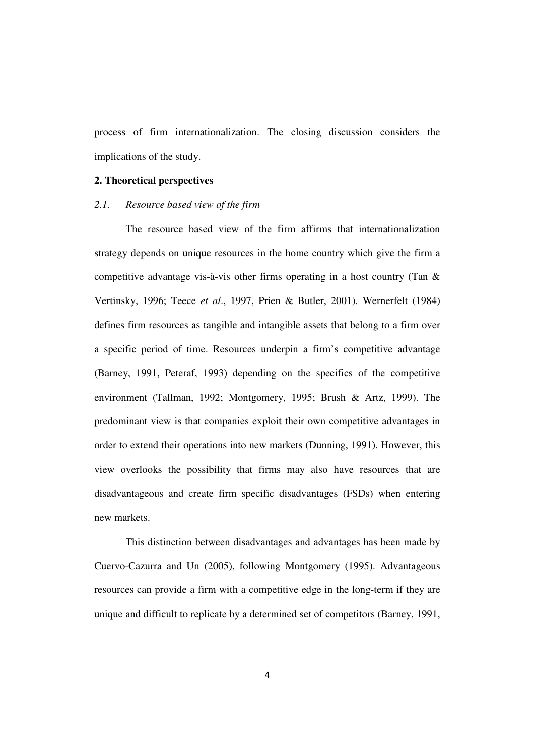process of firm internationalization. The closing discussion considers the implications of the study.

# **2. Theoretical perspectives**

## *2.1. Resource based view of the firm*

The resource based view of the firm affirms that internationalization strategy depends on unique resources in the home country which give the firm a competitive advantage vis-à-vis other firms operating in a host country (Tan & Vertinsky, 1996; Teece *et al*., 1997, Prien & Butler, 2001). Wernerfelt (1984) defines firm resources as tangible and intangible assets that belong to a firm over a specific period of time. Resources underpin a firm's competitive advantage (Barney, 1991, Peteraf, 1993) depending on the specifics of the competitive environment (Tallman, 1992; Montgomery, 1995; Brush & Artz, 1999). The predominant view is that companies exploit their own competitive advantages in order to extend their operations into new markets (Dunning, 1991). However, this view overlooks the possibility that firms may also have resources that are disadvantageous and create firm specific disadvantages (FSDs) when entering new markets.

This distinction between disadvantages and advantages has been made by Cuervo-Cazurra and Un (2005), following Montgomery (1995). Advantageous resources can provide a firm with a competitive edge in the long-term if they are unique and difficult to replicate by a determined set of competitors (Barney, 1991,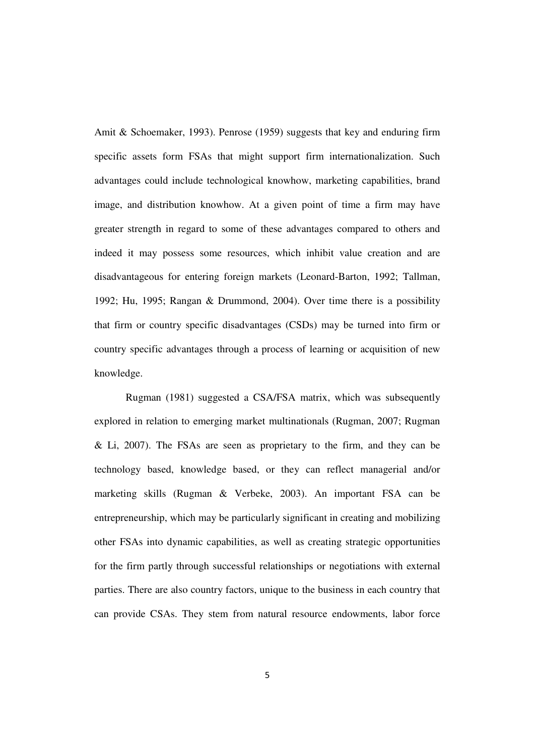Amit & Schoemaker, 1993). Penrose (1959) suggests that key and enduring firm specific assets form FSAs that might support firm internationalization. Such advantages could include technological knowhow, marketing capabilities, brand image, and distribution knowhow. At a given point of time a firm may have greater strength in regard to some of these advantages compared to others and indeed it may possess some resources, which inhibit value creation and are disadvantageous for entering foreign markets (Leonard-Barton, 1992; Tallman, 1992; Hu, 1995; Rangan & Drummond, 2004). Over time there is a possibility that firm or country specific disadvantages (CSDs) may be turned into firm or country specific advantages through a process of learning or acquisition of new knowledge.

Rugman (1981) suggested a CSA/FSA matrix, which was subsequently explored in relation to emerging market multinationals (Rugman, 2007; Rugman & Li, 2007). The FSAs are seen as proprietary to the firm, and they can be technology based, knowledge based, or they can reflect managerial and/or marketing skills (Rugman & Verbeke, 2003). An important FSA can be entrepreneurship, which may be particularly significant in creating and mobilizing other FSAs into dynamic capabilities, as well as creating strategic opportunities for the firm partly through successful relationships or negotiations with external parties. There are also country factors, unique to the business in each country that can provide CSAs. They stem from natural resource endowments, labor force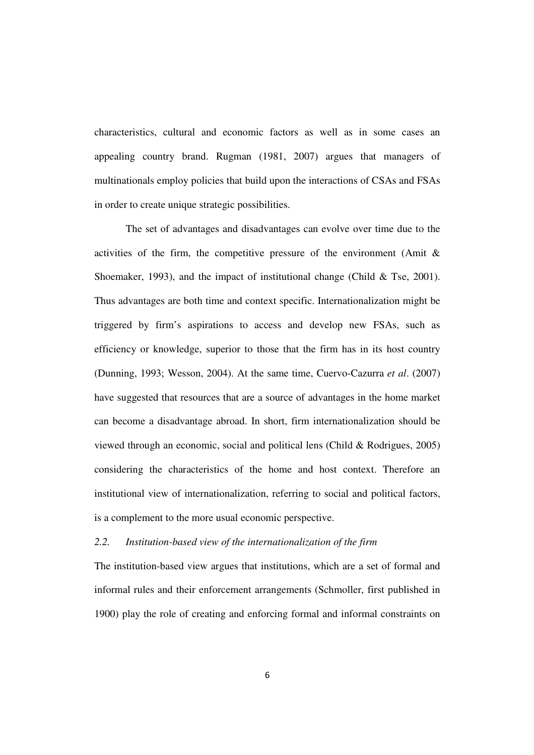characteristics, cultural and economic factors as well as in some cases an appealing country brand. Rugman (1981, 2007) argues that managers of multinationals employ policies that build upon the interactions of CSAs and FSAs in order to create unique strategic possibilities.

The set of advantages and disadvantages can evolve over time due to the activities of the firm, the competitive pressure of the environment (Amit  $\&$ Shoemaker, 1993), and the impact of institutional change (Child & Tse, 2001). Thus advantages are both time and context specific. Internationalization might be triggered by firm's aspirations to access and develop new FSAs, such as efficiency or knowledge, superior to those that the firm has in its host country (Dunning, 1993; Wesson, 2004). At the same time, Cuervo-Cazurra *et al*. (2007) have suggested that resources that are a source of advantages in the home market can become a disadvantage abroad. In short, firm internationalization should be viewed through an economic, social and political lens (Child & Rodrigues, 2005) considering the characteristics of the home and host context. Therefore an institutional view of internationalization, referring to social and political factors, is a complement to the more usual economic perspective.

# *2.2. Institution-based view of the internationalization of the firm*

The institution-based view argues that institutions, which are a set of formal and informal rules and their enforcement arrangements (Schmoller, first published in 1900) play the role of creating and enforcing formal and informal constraints on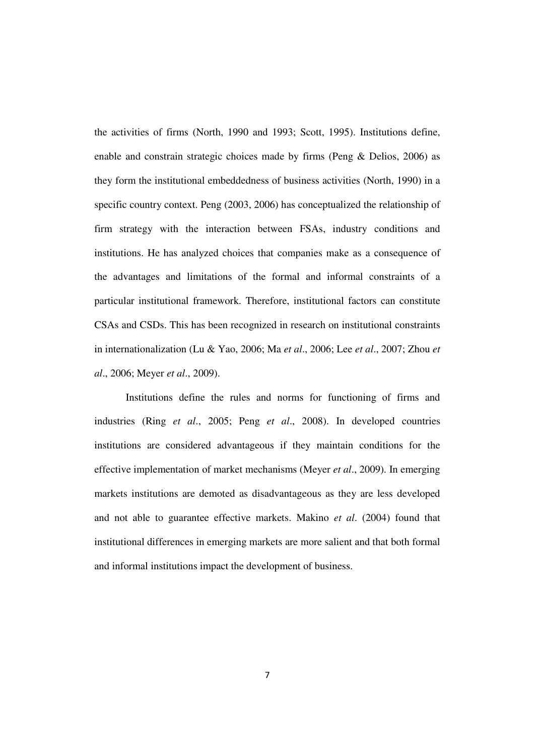the activities of firms (North, 1990 and 1993; Scott, 1995). Institutions define, enable and constrain strategic choices made by firms (Peng & Delios, 2006) as they form the institutional embeddedness of business activities (North, 1990) in a specific country context. Peng (2003, 2006) has conceptualized the relationship of firm strategy with the interaction between FSAs, industry conditions and institutions. He has analyzed choices that companies make as a consequence of the advantages and limitations of the formal and informal constraints of a particular institutional framework. Therefore, institutional factors can constitute CSAs and CSDs. This has been recognized in research on institutional constraints in internationalization (Lu & Yao, 2006; Ma *et al*., 2006; Lee *et al*., 2007; Zhou *et al*., 2006; Meyer *et al*., 2009).

Institutions define the rules and norms for functioning of firms and industries (Ring *et al*., 2005; Peng *et al*., 2008). In developed countries institutions are considered advantageous if they maintain conditions for the effective implementation of market mechanisms (Meyer *et al*., 2009). In emerging markets institutions are demoted as disadvantageous as they are less developed and not able to guarantee effective markets. Makino *et al*. (2004) found that institutional differences in emerging markets are more salient and that both formal and informal institutions impact the development of business.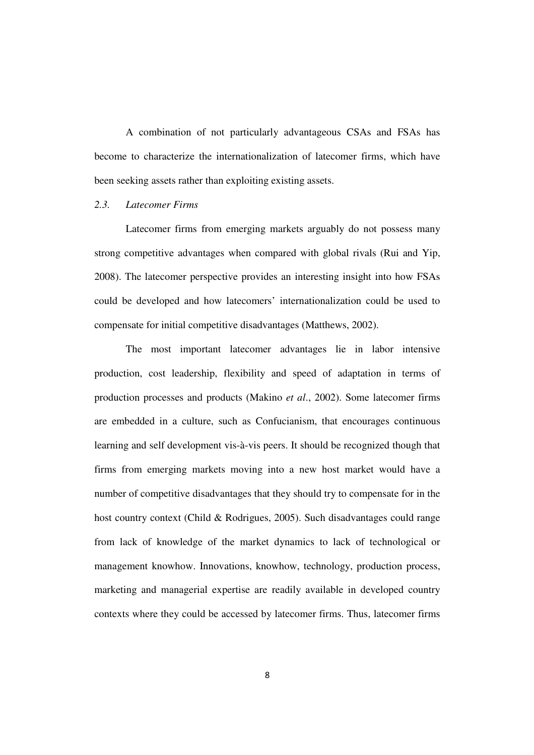A combination of not particularly advantageous CSAs and FSAs has become to characterize the internationalization of latecomer firms, which have been seeking assets rather than exploiting existing assets.

## *2.3. Latecomer Firms*

Latecomer firms from emerging markets arguably do not possess many strong competitive advantages when compared with global rivals (Rui and Yip, 2008). The latecomer perspective provides an interesting insight into how FSAs could be developed and how latecomers' internationalization could be used to compensate for initial competitive disadvantages (Matthews, 2002).

The most important latecomer advantages lie in labor intensive production, cost leadership, flexibility and speed of adaptation in terms of production processes and products (Makino *et al*., 2002). Some latecomer firms are embedded in a culture, such as Confucianism, that encourages continuous learning and self development vis-à-vis peers. It should be recognized though that firms from emerging markets moving into a new host market would have a number of competitive disadvantages that they should try to compensate for in the host country context (Child & Rodrigues, 2005). Such disadvantages could range from lack of knowledge of the market dynamics to lack of technological or management knowhow. Innovations, knowhow, technology, production process, marketing and managerial expertise are readily available in developed country contexts where they could be accessed by latecomer firms. Thus, latecomer firms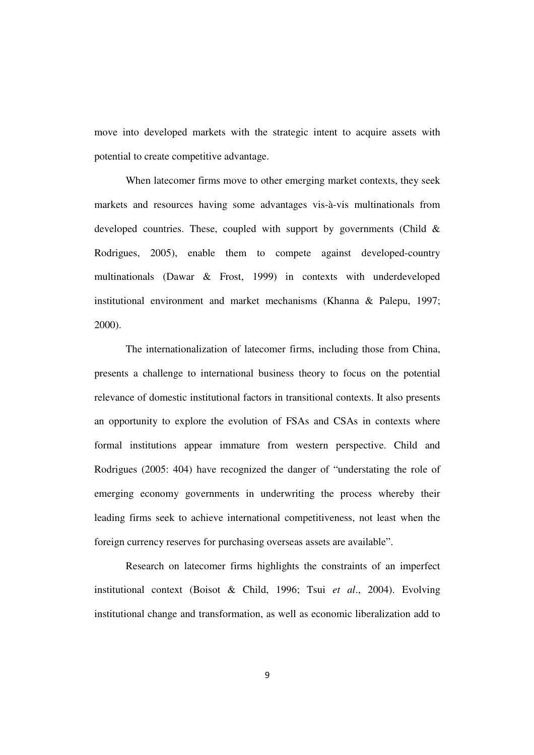move into developed markets with the strategic intent to acquire assets with potential to create competitive advantage.

When latecomer firms move to other emerging market contexts, they seek markets and resources having some advantages vis-à-vis multinationals from developed countries. These, coupled with support by governments (Child & Rodrigues, 2005), enable them to compete against developed-country multinationals (Dawar & Frost, 1999) in contexts with underdeveloped institutional environment and market mechanisms (Khanna & Palepu, 1997; 2000).

The internationalization of latecomer firms, including those from China, presents a challenge to international business theory to focus on the potential relevance of domestic institutional factors in transitional contexts. It also presents an opportunity to explore the evolution of FSAs and CSAs in contexts where formal institutions appear immature from western perspective. Child and Rodrigues (2005: 404) have recognized the danger of "understating the role of emerging economy governments in underwriting the process whereby their leading firms seek to achieve international competitiveness, not least when the foreign currency reserves for purchasing overseas assets are available".

Research on latecomer firms highlights the constraints of an imperfect institutional context (Boisot & Child, 1996; Tsui *et al*., 2004). Evolving institutional change and transformation, as well as economic liberalization add to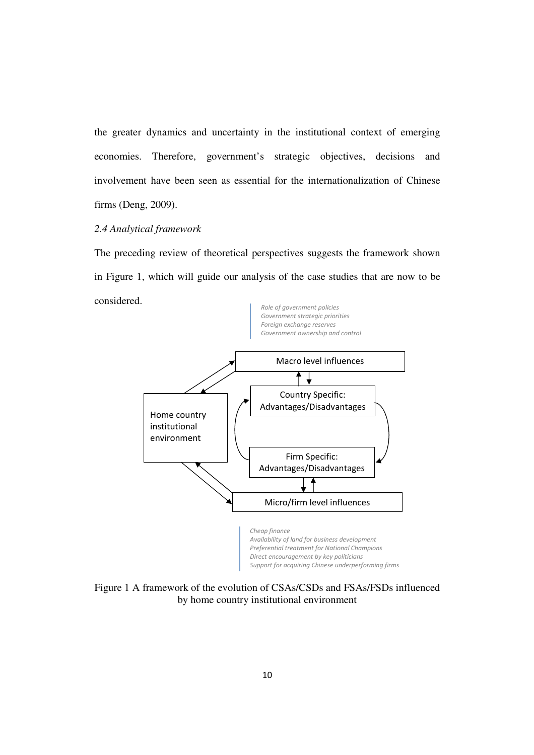the greater dynamics and uncertainty in the institutional context of emerging economies. Therefore, government's strategic objectives, decisions and involvement have been seen as essential for the internationalization of Chinese firms (Deng, 2009).

## *2.4 Analytical framework*

The preceding review of theoretical perspectives suggests the framework shown in Figure 1, which will guide our analysis of the case studies that are now to be considered.



Figure 1 A framework of the evolution of CSAs/CSDs and FSAs/FSDs influenced by home country institutional environment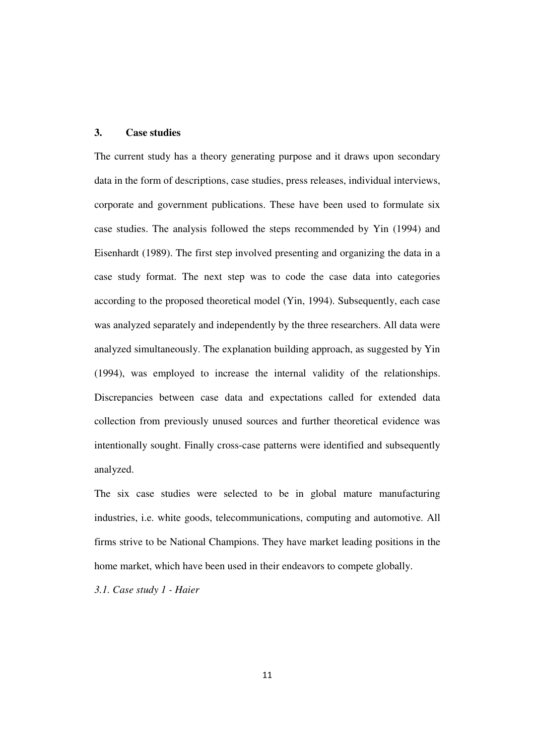# **3. Case studies**

The current study has a theory generating purpose and it draws upon secondary data in the form of descriptions, case studies, press releases, individual interviews, corporate and government publications. These have been used to formulate six case studies. The analysis followed the steps recommended by Yin (1994) and Eisenhardt (1989). The first step involved presenting and organizing the data in a case study format. The next step was to code the case data into categories according to the proposed theoretical model (Yin, 1994). Subsequently, each case was analyzed separately and independently by the three researchers. All data were analyzed simultaneously. The explanation building approach, as suggested by Yin (1994), was employed to increase the internal validity of the relationships. Discrepancies between case data and expectations called for extended data collection from previously unused sources and further theoretical evidence was intentionally sought. Finally cross-case patterns were identified and subsequently analyzed.

The six case studies were selected to be in global mature manufacturing industries, i.e. white goods, telecommunications, computing and automotive. All firms strive to be National Champions. They have market leading positions in the home market, which have been used in their endeavors to compete globally.

*3.1. Case study 1 - Haier*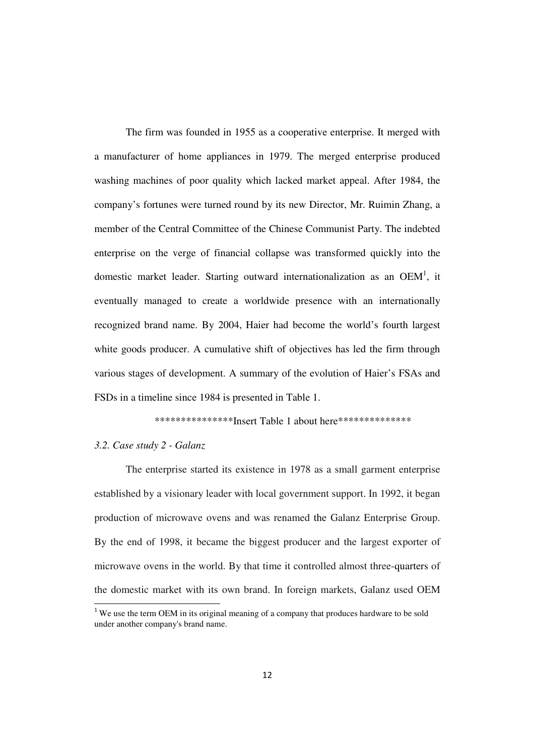The firm was founded in 1955 as a cooperative enterprise. It merged with a manufacturer of home appliances in 1979. The merged enterprise produced washing machines of poor quality which lacked market appeal. After 1984, the company's fortunes were turned round by its new Director, Mr. Ruimin Zhang, a member of the Central Committee of the Chinese Communist Party. The indebted enterprise on the verge of financial collapse was transformed quickly into the domestic market leader. Starting outward internationalization as an OEM<sup>1</sup>, it eventually managed to create a worldwide presence with an internationally recognized brand name. By 2004, Haier had become the world's fourth largest white goods producer. A cumulative shift of objectives has led the firm through various stages of development. A summary of the evolution of Haier's FSAs and FSDs in a timeline since 1984 is presented in Table 1.

\*\*\*\*\*\*\*\*\*\*\*\*\*\*\*Insert Table 1 about here\*\*\*\*\*\*\*\*\*\*\*\*\*\*

# *3.2. Case study 2 - Galanz*

 $\overline{\phantom{0}}$ 

The enterprise started its existence in 1978 as a small garment enterprise established by a visionary leader with local government support. In 1992, it began production of microwave ovens and was renamed the Galanz Enterprise Group. By the end of 1998, it became the biggest producer and the largest exporter of microwave ovens in the world. By that time it controlled almost three-quarters of the domestic market with its own brand. In foreign markets, Galanz used OEM

<sup>&</sup>lt;sup>1</sup> We use the term OEM in its original meaning of a company that produces hardware to be sold under another company's brand name.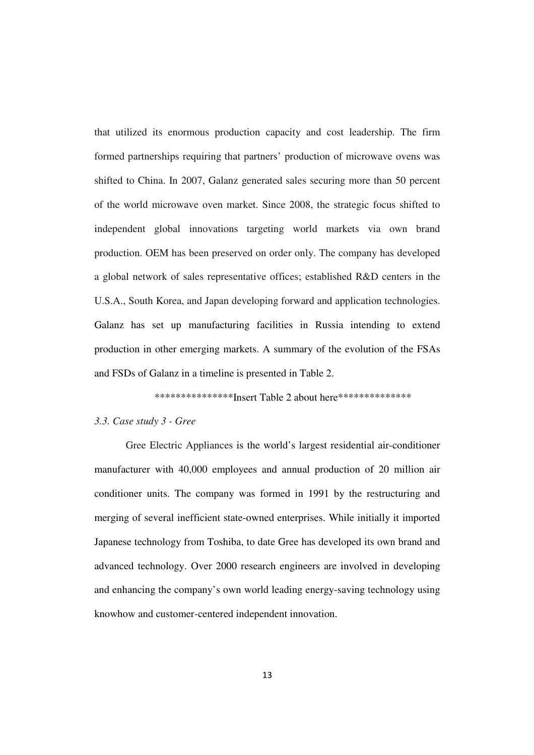that utilized its enormous production capacity and cost leadership. The firm formed partnerships requiring that partners' production of microwave ovens was shifted to China. In 2007, Galanz generated sales securing more than 50 percent of the world microwave oven market. Since 2008, the strategic focus shifted to independent global innovations targeting world markets via own brand production. OEM has been preserved on order only. The company has developed a global network of sales representative offices; established R&D centers in the U.S.A., South Korea, and Japan developing forward and application technologies. Galanz has set up manufacturing facilities in Russia intending to extend production in other emerging markets. A summary of the evolution of the FSAs and FSDs of Galanz in a timeline is presented in Table 2.

\*\*\*\*\*\*\*\*\*\*\*\*\*\*\*\*\*Insert Table 2 about here\*\*\*\*\*\*\*\*\*\*\*\*\*\*\*\*

## *3.3. Case study 3 - Gree*

Gree Electric Appliances is the world's largest residential air-conditioner manufacturer with 40,000 employees and annual production of 20 million air conditioner units. The company was formed in 1991 by the restructuring and merging of several inefficient state-owned enterprises. While initially it imported Japanese technology from Toshiba, to date Gree has developed its own brand and advanced technology. Over 2000 research engineers are involved in developing and enhancing the company's own world leading energy-saving technology using knowhow and customer-centered independent innovation.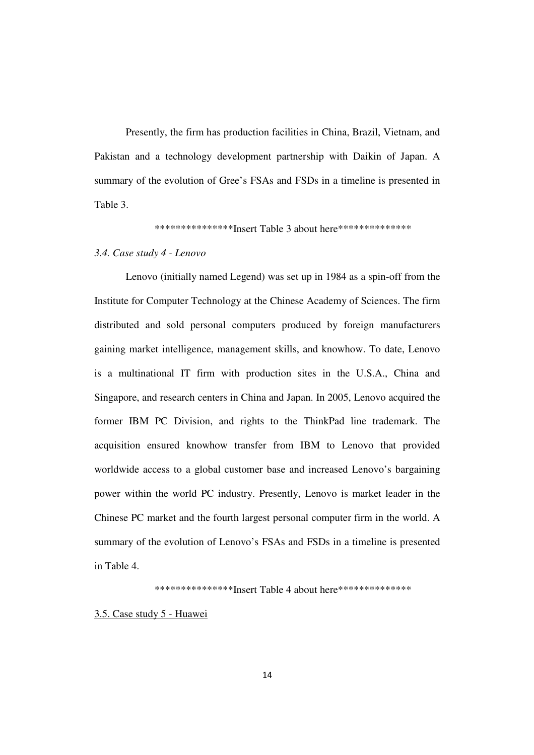Presently, the firm has production facilities in China, Brazil, Vietnam, and Pakistan and a technology development partnership with Daikin of Japan. A summary of the evolution of Gree's FSAs and FSDs in a timeline is presented in Table 3.

\*\*\*\*\*\*\*\*\*\*\*\*\*\*\*Insert Table 3 about here\*\*\*\*\*\*\*\*\*\*\*\*\*\*

# *3.4. Case study 4 - Lenovo*

Lenovo (initially named Legend) was set up in 1984 as a spin-off from the Institute for Computer Technology at the Chinese Academy of Sciences. The firm distributed and sold personal computers produced by foreign manufacturers gaining market intelligence, management skills, and knowhow. To date, Lenovo is a multinational IT firm with production sites in the U.S.A., China and Singapore, and research centers in China and Japan. In 2005, Lenovo acquired the former IBM PC Division, and rights to the ThinkPad line trademark. The acquisition ensured knowhow transfer from IBM to Lenovo that provided worldwide access to a global customer base and increased Lenovo's bargaining power within the world PC industry. Presently, Lenovo is market leader in the Chinese PC market and the fourth largest personal computer firm in the world. A summary of the evolution of Lenovo's FSAs and FSDs in a timeline is presented in Table 4.

\*\*\*\*\*\*\*\*\*\*\*\*\*\*\*Insert Table 4 about here\*\*\*\*\*\*\*\*\*\*\*\*\*\*

## 3.5. Case study 5 - Huawei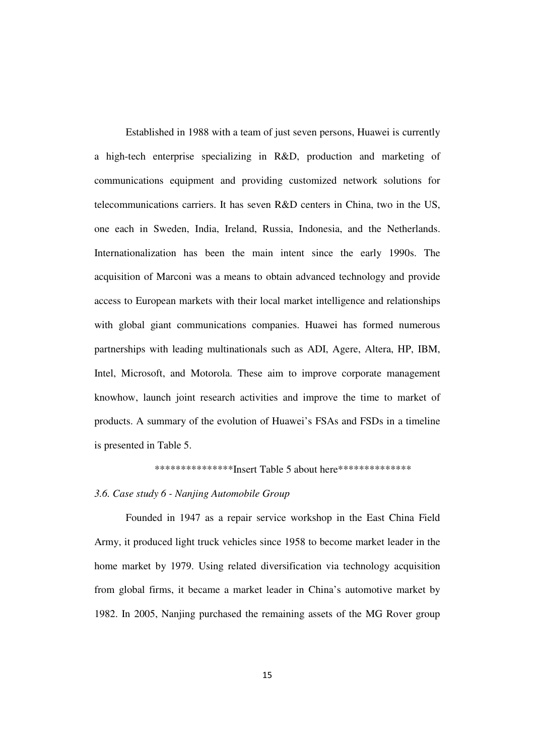Established in 1988 with a team of just seven persons, Huawei is currently a high-tech enterprise specializing in R&D, production and marketing of communications equipment and providing customized network solutions for telecommunications carriers. It has seven R&D centers in China, two in the US, one each in Sweden, India, Ireland, Russia, Indonesia, and the Netherlands. Internationalization has been the main intent since the early 1990s. The acquisition of Marconi was a means to obtain advanced technology and provide access to European markets with their local market intelligence and relationships with global giant communications companies. Huawei has formed numerous partnerships with leading multinationals such as ADI, Agere, Altera, HP, IBM, Intel, Microsoft, and Motorola. These aim to improve corporate management knowhow, launch joint research activities and improve the time to market of products. A summary of the evolution of Huawei's FSAs and FSDs in a timeline is presented in Table 5.

# \*\*\*\*\*\*\*\*\*\*\*\*\*\*\*\*\*Insert Table 5 about here\*\*\*\*\*\*\*\*\*\*\*\*\*\*\*

#### *3.6. Case study 6 - Nanjing Automobile Group*

 Founded in 1947 as a repair service workshop in the East China Field Army, it produced light truck vehicles since 1958 to become market leader in the home market by 1979. Using related diversification via technology acquisition from global firms, it became a market leader in China's automotive market by 1982. In 2005, Nanjing purchased the remaining assets of the MG Rover group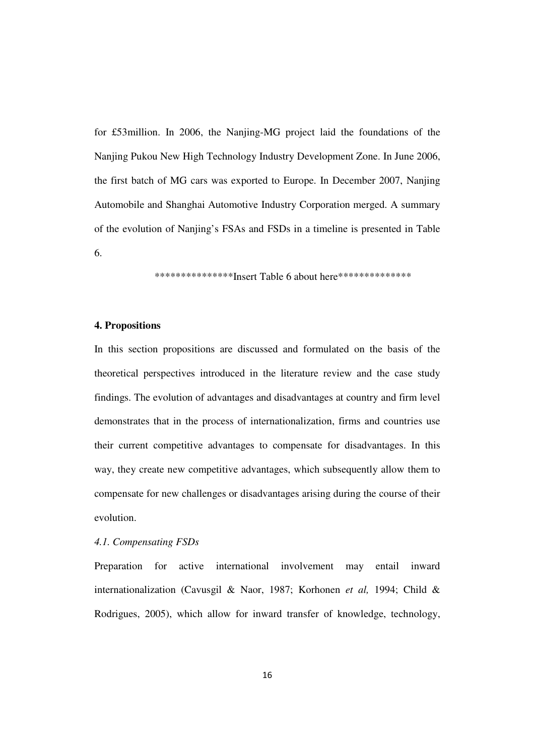for £53million. In 2006, the Nanjing-MG project laid the foundations of the Nanjing Pukou New High Technology Industry Development Zone. In June 2006, the first batch of MG cars was exported to Europe. In December 2007, Nanjing Automobile and Shanghai Automotive Industry Corporation merged. A summary of the evolution of Nanjing's FSAs and FSDs in a timeline is presented in Table 6.

\*\*\*\*\*\*\*\*\*\*\*\*\*\*\*Insert Table 6 about here\*\*\*\*\*\*\*\*\*\*\*\*\*\*

# **4. Propositions**

In this section propositions are discussed and formulated on the basis of the theoretical perspectives introduced in the literature review and the case study findings. The evolution of advantages and disadvantages at country and firm level demonstrates that in the process of internationalization, firms and countries use their current competitive advantages to compensate for disadvantages. In this way, they create new competitive advantages, which subsequently allow them to compensate for new challenges or disadvantages arising during the course of their evolution.

*4.1. Compensating FSDs* 

Preparation for active international involvement may entail inward internationalization (Cavusgil & Naor, 1987; Korhonen *et al,* 1994; Child & Rodrigues, 2005), which allow for inward transfer of knowledge, technology,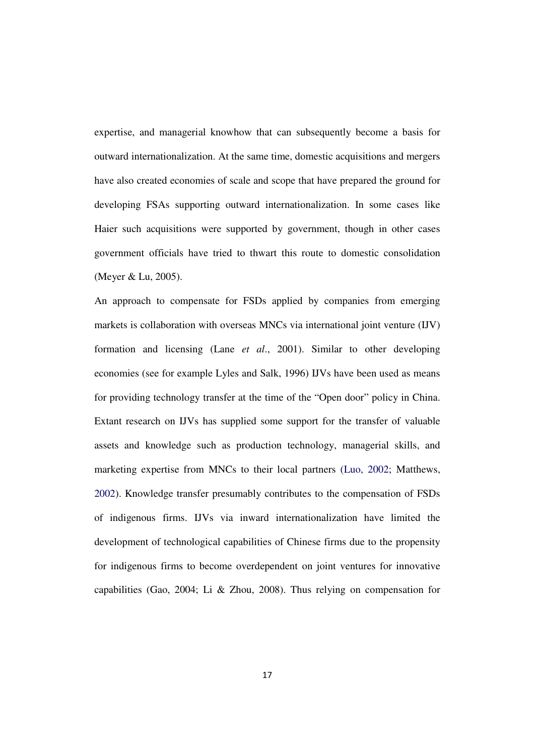expertise, and managerial knowhow that can subsequently become a basis for outward internationalization. At the same time, domestic acquisitions and mergers have also created economies of scale and scope that have prepared the ground for developing FSAs supporting outward internationalization. In some cases like Haier such acquisitions were supported by government, though in other cases government officials have tried to thwart this route to domestic consolidation (Meyer & Lu, 2005).

An approach to compensate for FSDs applied by companies from emerging markets is collaboration with overseas MNCs via international joint venture (IJV) formation and licensing (Lane *et al*., 2001). Similar to other developing economies (see for example Lyles and Salk, 1996) IJVs have been used as means for providing technology transfer at the time of the "Open door" policy in China. Extant research on IJVs has supplied some support for the transfer of valuable assets and knowledge such as production technology, managerial skills, and marketing expertise from MNCs to their local partners (Luo, 2002; Matthews, 2002). Knowledge transfer presumably contributes to the compensation of FSDs of indigenous firms. IJVs via inward internationalization have limited the development of technological capabilities of Chinese firms due to the propensity for indigenous firms to become overdependent on joint ventures for innovative capabilities (Gao, 2004; Li & Zhou, 2008). Thus relying on compensation for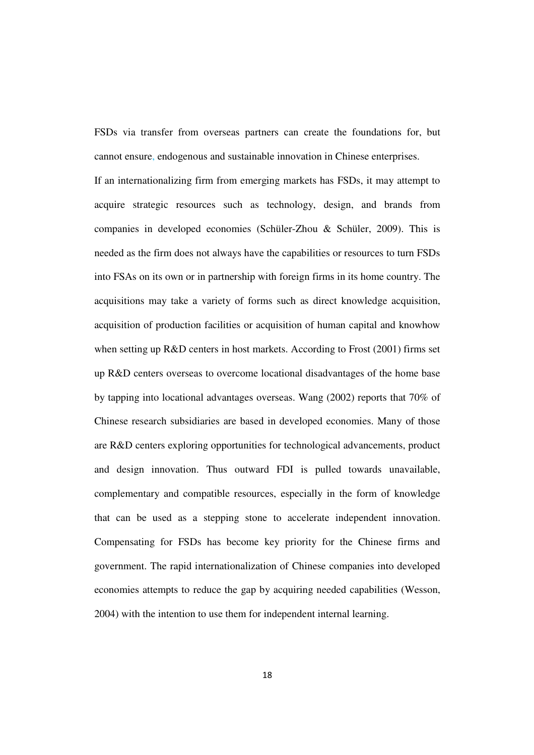FSDs via transfer from overseas partners can create the foundations for, but cannot ensure, endogenous and sustainable innovation in Chinese enterprises.

If an internationalizing firm from emerging markets has FSDs, it may attempt to acquire strategic resources such as technology, design, and brands from companies in developed economies (Schüler-Zhou & Schüler, 2009). This is needed as the firm does not always have the capabilities or resources to turn FSDs into FSAs on its own or in partnership with foreign firms in its home country. The acquisitions may take a variety of forms such as direct knowledge acquisition, acquisition of production facilities or acquisition of human capital and knowhow when setting up R&D centers in host markets. According to Frost (2001) firms set up R&D centers overseas to overcome locational disadvantages of the home base by tapping into locational advantages overseas. Wang (2002) reports that 70% of Chinese research subsidiaries are based in developed economies. Many of those are R&D centers exploring opportunities for technological advancements, product and design innovation. Thus outward FDI is pulled towards unavailable, complementary and compatible resources, especially in the form of knowledge that can be used as a stepping stone to accelerate independent innovation. Compensating for FSDs has become key priority for the Chinese firms and government. The rapid internationalization of Chinese companies into developed economies attempts to reduce the gap by acquiring needed capabilities (Wesson, 2004) with the intention to use them for independent internal learning.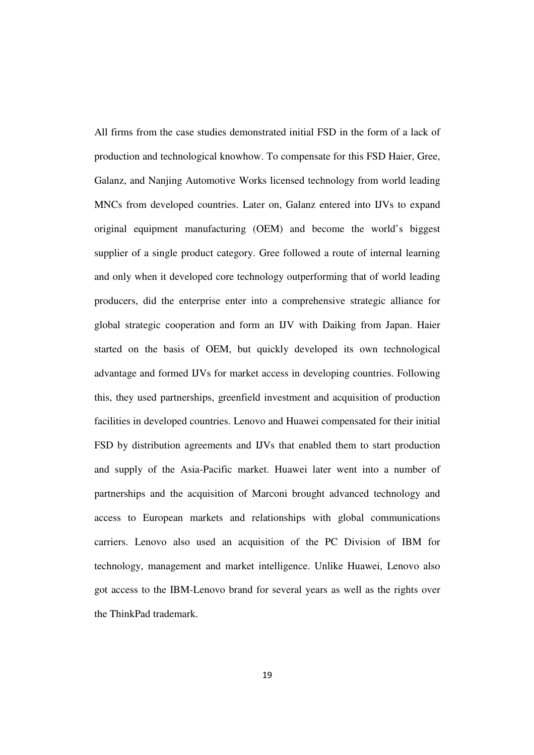All firms from the case studies demonstrated initial FSD in the form of a lack of production and technological knowhow. To compensate for this FSD Haier, Gree, Galanz, and Nanjing Automotive Works licensed technology from world leading MNCs from developed countries. Later on, Galanz entered into IJVs to expand original equipment manufacturing (OEM) and become the world's biggest supplier of a single product category. Gree followed a route of internal learning and only when it developed core technology outperforming that of world leading producers, did the enterprise enter into a comprehensive strategic alliance for global strategic cooperation and form an IJV with Daiking from Japan. Haier started on the basis of OEM, but quickly developed its own technological advantage and formed IJVs for market access in developing countries. Following this, they used partnerships, greenfield investment and acquisition of production facilities in developed countries. Lenovo and Huawei compensated for their initial FSD by distribution agreements and IJVs that enabled them to start production and supply of the Asia-Pacific market. Huawei later went into a number of partnerships and the acquisition of Marconi brought advanced technology and access to European markets and relationships with global communications carriers. Lenovo also used an acquisition of the PC Division of IBM for technology, management and market intelligence. Unlike Huawei, Lenovo also got access to the IBM-Lenovo brand for several years as well as the rights over the ThinkPad trademark.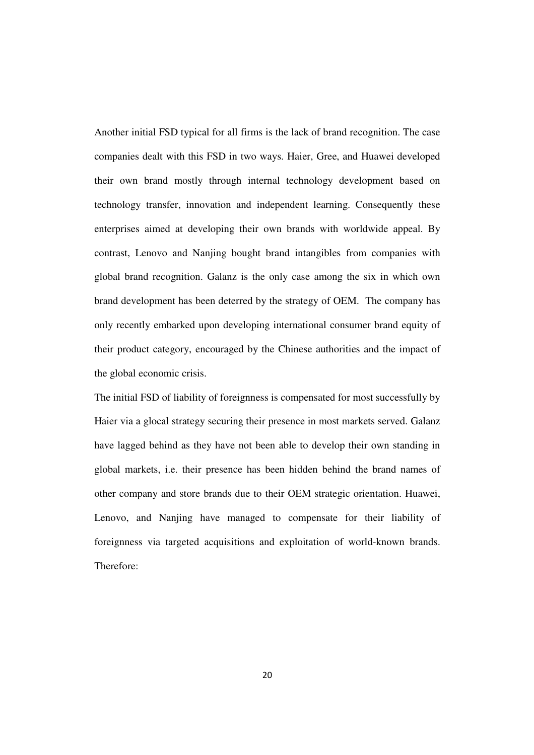Another initial FSD typical for all firms is the lack of brand recognition. The case companies dealt with this FSD in two ways. Haier, Gree, and Huawei developed their own brand mostly through internal technology development based on technology transfer, innovation and independent learning. Consequently these enterprises aimed at developing their own brands with worldwide appeal. By contrast, Lenovo and Nanjing bought brand intangibles from companies with global brand recognition. Galanz is the only case among the six in which own brand development has been deterred by the strategy of OEM. The company has only recently embarked upon developing international consumer brand equity of their product category, encouraged by the Chinese authorities and the impact of the global economic crisis.

The initial FSD of liability of foreignness is compensated for most successfully by Haier via a glocal strategy securing their presence in most markets served. Galanz have lagged behind as they have not been able to develop their own standing in global markets, i.e. their presence has been hidden behind the brand names of other company and store brands due to their OEM strategic orientation. Huawei, Lenovo, and Nanjing have managed to compensate for their liability of foreignness via targeted acquisitions and exploitation of world-known brands. Therefore: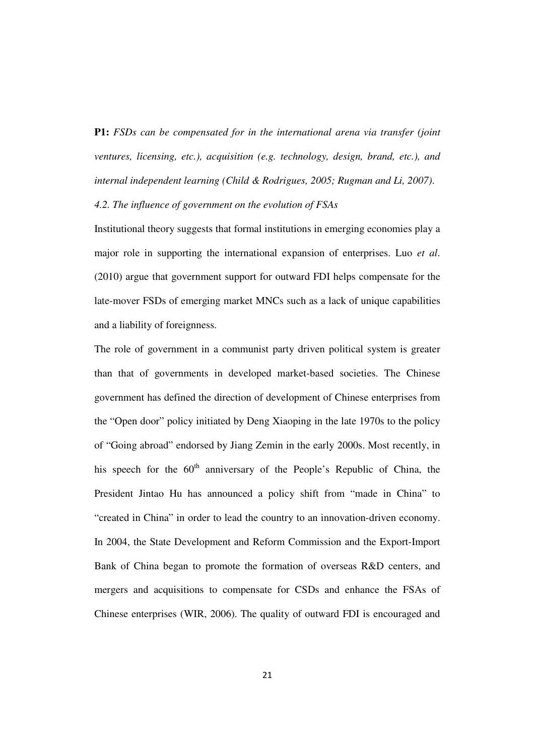**P1:** *FSDs can be compensated for in the international arena via transfer (joint ventures, licensing, etc.), acquisition (e.g. technology, design, brand, etc.), and internal independent learning (Child & Rodrigues, 2005; Rugman and Li, 2007)*.

# *4.2. The influence of government on the evolution of FSAs*

Institutional theory suggests that formal institutions in emerging economies play a major role in supporting the international expansion of enterprises. Luo *et al*. (2010) argue that government support for outward FDI helps compensate for the late-mover FSDs of emerging market MNCs such as a lack of unique capabilities and a liability of foreignness.

The role of government in a communist party driven political system is greater than that of governments in developed market-based societies. The Chinese government has defined the direction of development of Chinese enterprises from the "Open door" policy initiated by Deng Xiaoping in the late 1970s to the policy of "Going abroad" endorsed by Jiang Zemin in the early 2000s. Most recently, in his speech for the  $60<sup>th</sup>$  anniversary of the People's Republic of China, the President Jintao Hu has announced a policy shift from "made in China" to "created in China" in order to lead the country to an innovation-driven economy. In 2004, the State Development and Reform Commission and the Export-Import Bank of China began to promote the formation of overseas R&D centers, and mergers and acquisitions to compensate for CSDs and enhance the FSAs of Chinese enterprises (WIR, 2006). The quality of outward FDI is encouraged and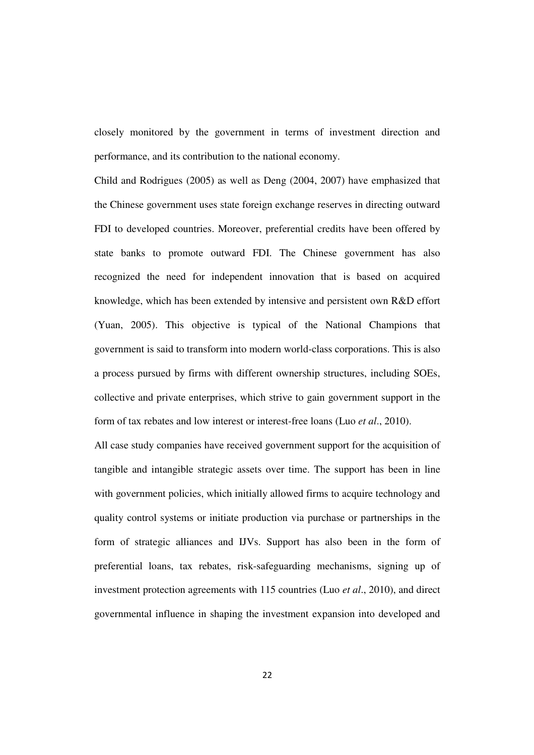closely monitored by the government in terms of investment direction and performance, and its contribution to the national economy.

Child and Rodrigues (2005) as well as Deng (2004, 2007) have emphasized that the Chinese government uses state foreign exchange reserves in directing outward FDI to developed countries. Moreover, preferential credits have been offered by state banks to promote outward FDI. The Chinese government has also recognized the need for independent innovation that is based on acquired knowledge, which has been extended by intensive and persistent own R&D effort (Yuan, 2005). This objective is typical of the National Champions that government is said to transform into modern world-class corporations. This is also a process pursued by firms with different ownership structures, including SOEs, collective and private enterprises, which strive to gain government support in the form of tax rebates and low interest or interest-free loans (Luo *et al*., 2010).

All case study companies have received government support for the acquisition of tangible and intangible strategic assets over time. The support has been in line with government policies, which initially allowed firms to acquire technology and quality control systems or initiate production via purchase or partnerships in the form of strategic alliances and IJVs. Support has also been in the form of preferential loans, tax rebates, risk-safeguarding mechanisms, signing up of investment protection agreements with 115 countries (Luo *et al*., 2010), and direct governmental influence in shaping the investment expansion into developed and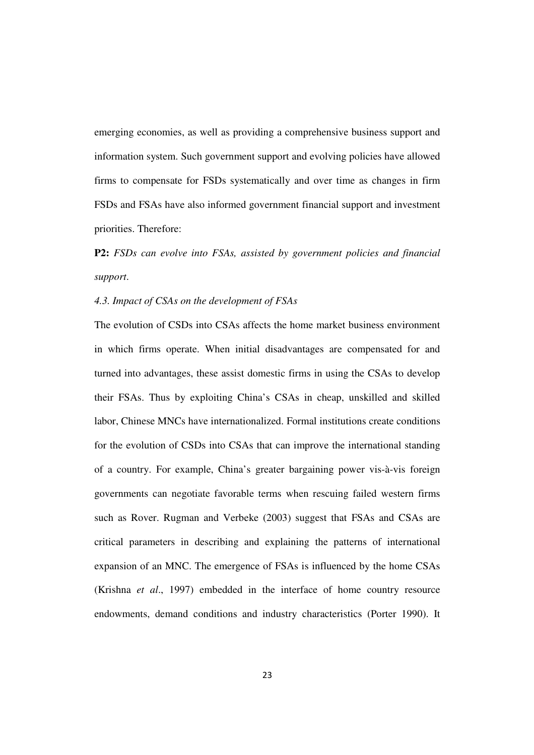emerging economies, as well as providing a comprehensive business support and information system. Such government support and evolving policies have allowed firms to compensate for FSDs systematically and over time as changes in firm FSDs and FSAs have also informed government financial support and investment priorities. Therefore:

# **P2:** *FSDs can evolve into FSAs, assisted by government policies and financial support*.

# *4.3. Impact of CSAs on the development of FSAs*

The evolution of CSDs into CSAs affects the home market business environment in which firms operate. When initial disadvantages are compensated for and turned into advantages, these assist domestic firms in using the CSAs to develop their FSAs. Thus by exploiting China's CSAs in cheap, unskilled and skilled labor, Chinese MNCs have internationalized. Formal institutions create conditions for the evolution of CSDs into CSAs that can improve the international standing of a country. For example, China's greater bargaining power vis-à-vis foreign governments can negotiate favorable terms when rescuing failed western firms such as Rover. Rugman and Verbeke (2003) suggest that FSAs and CSAs are critical parameters in describing and explaining the patterns of international expansion of an MNC. The emergence of FSAs is influenced by the home CSAs (Krishna *et al*., 1997) embedded in the interface of home country resource endowments, demand conditions and industry characteristics (Porter 1990). It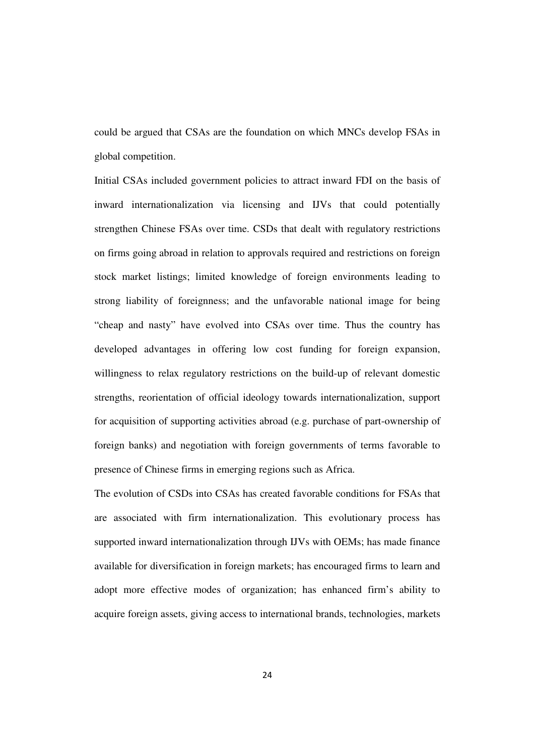could be argued that CSAs are the foundation on which MNCs develop FSAs in global competition.

Initial CSAs included government policies to attract inward FDI on the basis of inward internationalization via licensing and IJVs that could potentially strengthen Chinese FSAs over time. CSDs that dealt with regulatory restrictions on firms going abroad in relation to approvals required and restrictions on foreign stock market listings; limited knowledge of foreign environments leading to strong liability of foreignness; and the unfavorable national image for being "cheap and nasty" have evolved into CSAs over time. Thus the country has developed advantages in offering low cost funding for foreign expansion, willingness to relax regulatory restrictions on the build-up of relevant domestic strengths, reorientation of official ideology towards internationalization, support for acquisition of supporting activities abroad (e.g. purchase of part-ownership of foreign banks) and negotiation with foreign governments of terms favorable to presence of Chinese firms in emerging regions such as Africa.

The evolution of CSDs into CSAs has created favorable conditions for FSAs that are associated with firm internationalization. This evolutionary process has supported inward internationalization through IJVs with OEMs; has made finance available for diversification in foreign markets; has encouraged firms to learn and adopt more effective modes of organization; has enhanced firm's ability to acquire foreign assets, giving access to international brands, technologies, markets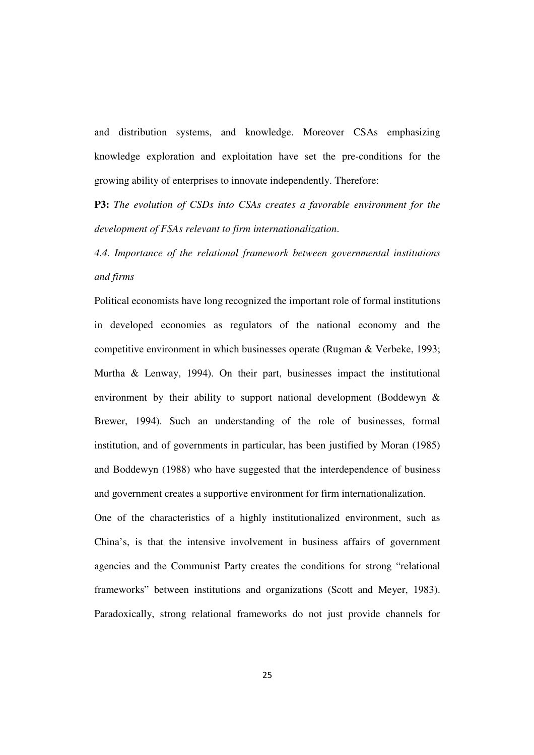and distribution systems, and knowledge. Moreover CSAs emphasizing knowledge exploration and exploitation have set the pre-conditions for the growing ability of enterprises to innovate independently. Therefore:

**P3:** *The evolution of CSDs into CSAs creates a favorable environment for the development of FSAs relevant to firm internationalization*.

*4.4. Importance of the relational framework between governmental institutions and firms* 

Political economists have long recognized the important role of formal institutions in developed economies as regulators of the national economy and the competitive environment in which businesses operate (Rugman & Verbeke, 1993; Murtha & Lenway, 1994). On their part, businesses impact the institutional environment by their ability to support national development (Boddewyn & Brewer, 1994). Such an understanding of the role of businesses, formal institution, and of governments in particular, has been justified by Moran (1985) and Boddewyn (1988) who have suggested that the interdependence of business and government creates a supportive environment for firm internationalization.

One of the characteristics of a highly institutionalized environment, such as China's, is that the intensive involvement in business affairs of government agencies and the Communist Party creates the conditions for strong "relational frameworks" between institutions and organizations (Scott and Meyer, 1983). Paradoxically, strong relational frameworks do not just provide channels for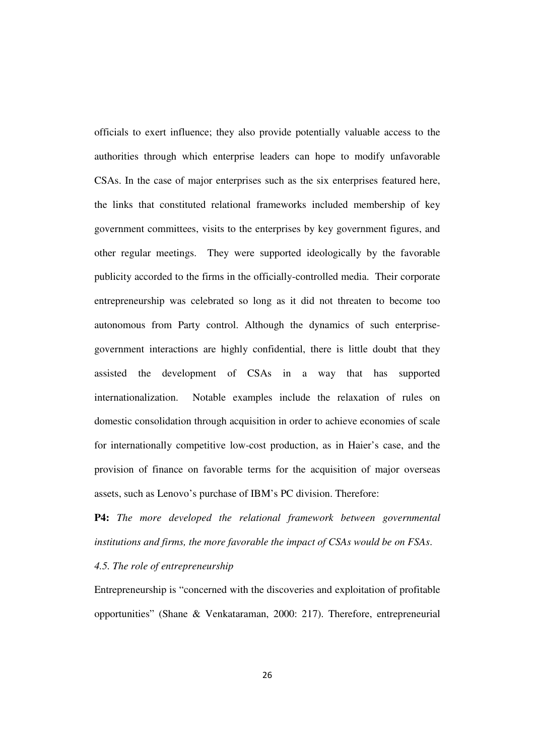officials to exert influence; they also provide potentially valuable access to the authorities through which enterprise leaders can hope to modify unfavorable CSAs. In the case of major enterprises such as the six enterprises featured here, the links that constituted relational frameworks included membership of key government committees, visits to the enterprises by key government figures, and other regular meetings. They were supported ideologically by the favorable publicity accorded to the firms in the officially-controlled media. Their corporate entrepreneurship was celebrated so long as it did not threaten to become too autonomous from Party control. Although the dynamics of such enterprisegovernment interactions are highly confidential, there is little doubt that they assisted the development of CSAs in a way that has supported internationalization. Notable examples include the relaxation of rules on domestic consolidation through acquisition in order to achieve economies of scale for internationally competitive low-cost production, as in Haier's case, and the provision of finance on favorable terms for the acquisition of major overseas assets, such as Lenovo's purchase of IBM's PC division. Therefore:

**P4:** *The more developed the relational framework between governmental institutions and firms, the more favorable the impact of CSAs would be on FSAs*.

*4.5. The role of entrepreneurship* 

Entrepreneurship is "concerned with the discoveries and exploitation of profitable opportunities" (Shane & Venkataraman, 2000: 217). Therefore, entrepreneurial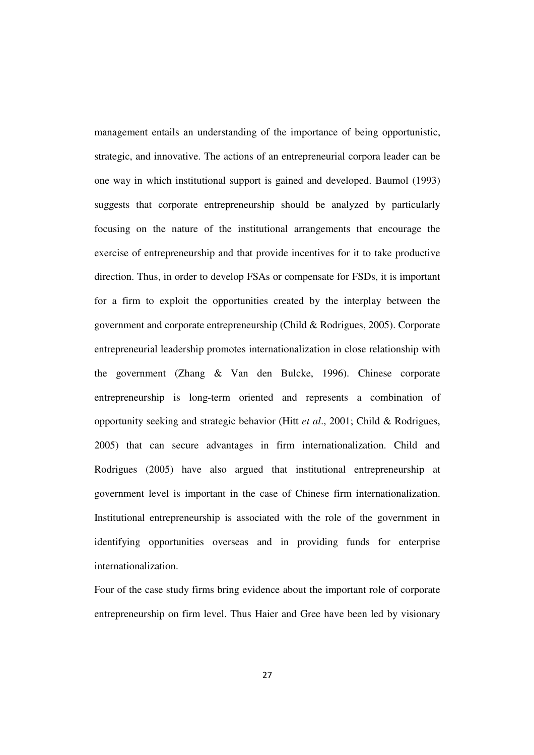management entails an understanding of the importance of being opportunistic, strategic, and innovative. The actions of an entrepreneurial corpora leader can be one way in which institutional support is gained and developed. Baumol (1993) suggests that corporate entrepreneurship should be analyzed by particularly focusing on the nature of the institutional arrangements that encourage the exercise of entrepreneurship and that provide incentives for it to take productive direction. Thus, in order to develop FSAs or compensate for FSDs, it is important for a firm to exploit the opportunities created by the interplay between the government and corporate entrepreneurship (Child & Rodrigues, 2005). Corporate entrepreneurial leadership promotes internationalization in close relationship with the government (Zhang & Van den Bulcke, 1996). Chinese corporate entrepreneurship is long-term oriented and represents a combination of opportunity seeking and strategic behavior (Hitt *et al*., 2001; Child & Rodrigues, 2005) that can secure advantages in firm internationalization. Child and Rodrigues (2005) have also argued that institutional entrepreneurship at government level is important in the case of Chinese firm internationalization. Institutional entrepreneurship is associated with the role of the government in identifying opportunities overseas and in providing funds for enterprise internationalization.

Four of the case study firms bring evidence about the important role of corporate entrepreneurship on firm level. Thus Haier and Gree have been led by visionary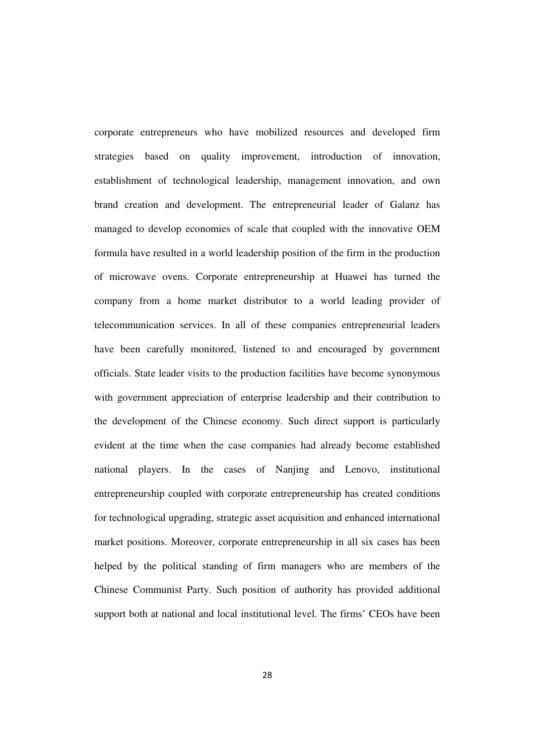corporate entrepreneurs who have mobilized resources and developed firm strategies based on quality improvement, introduction of innovation, establishment of technological leadership, management innovation, and own brand creation and development. The entrepreneurial leader of Galanz has managed to develop economies of scale that coupled with the innovative OEM formula have resulted in a world leadership position of the firm in the production of microwave ovens. Corporate entrepreneurship at Huawei has turned the company from a home market distributor to a world leading provider of telecommunication services. In all of these companies entrepreneurial leaders have been carefully monitored, listened to and encouraged by government officials. State leader visits to the production facilities have become synonymous with government appreciation of enterprise leadership and their contribution to the development of the Chinese economy. Such direct support is particularly evident at the time when the case companies had already become established national players. In the cases of Nanjing and Lenovo, institutional entrepreneurship coupled with corporate entrepreneurship has created conditions for technological upgrading, strategic asset acquisition and enhanced international market positions. Moreover, corporate entrepreneurship in all six cases has been helped by the political standing of firm managers who are members of the Chinese Communist Party. Such position of authority has provided additional support both at national and local institutional level. The firms' CEOs have been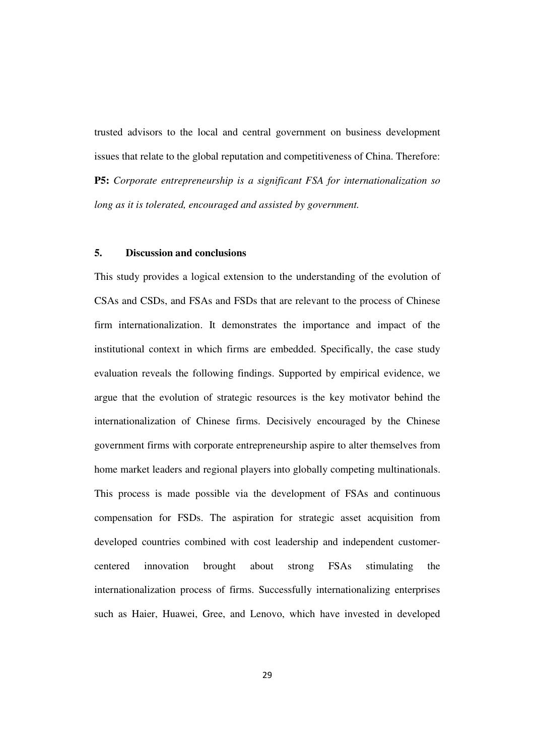trusted advisors to the local and central government on business development issues that relate to the global reputation and competitiveness of China. Therefore: **P5:** *Corporate entrepreneurship is a significant FSA for internationalization so long as it is tolerated, encouraged and assisted by government.* 

# **5. Discussion and conclusions**

This study provides a logical extension to the understanding of the evolution of CSAs and CSDs, and FSAs and FSDs that are relevant to the process of Chinese firm internationalization. It demonstrates the importance and impact of the institutional context in which firms are embedded. Specifically, the case study evaluation reveals the following findings. Supported by empirical evidence, we argue that the evolution of strategic resources is the key motivator behind the internationalization of Chinese firms. Decisively encouraged by the Chinese government firms with corporate entrepreneurship aspire to alter themselves from home market leaders and regional players into globally competing multinationals. This process is made possible via the development of FSAs and continuous compensation for FSDs. The aspiration for strategic asset acquisition from developed countries combined with cost leadership and independent customercentered innovation brought about strong FSAs stimulating the internationalization process of firms. Successfully internationalizing enterprises such as Haier, Huawei, Gree, and Lenovo, which have invested in developed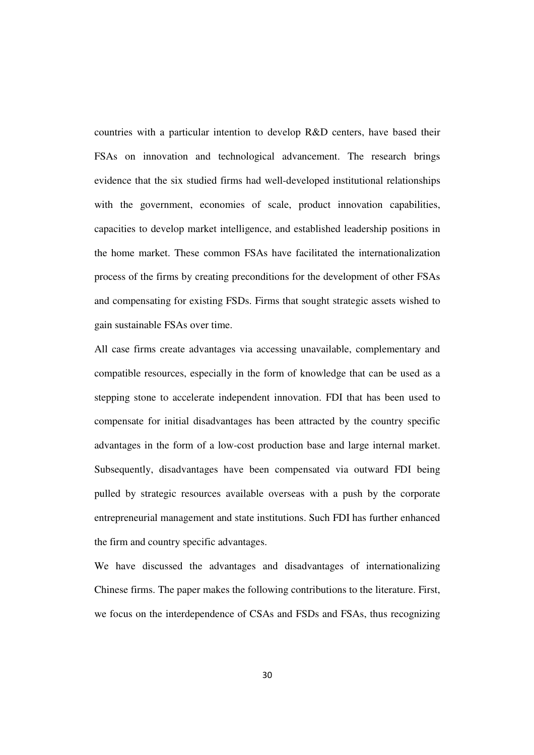countries with a particular intention to develop R&D centers, have based their FSAs on innovation and technological advancement. The research brings evidence that the six studied firms had well-developed institutional relationships with the government, economies of scale, product innovation capabilities, capacities to develop market intelligence, and established leadership positions in the home market. These common FSAs have facilitated the internationalization process of the firms by creating preconditions for the development of other FSAs and compensating for existing FSDs. Firms that sought strategic assets wished to gain sustainable FSAs over time.

All case firms create advantages via accessing unavailable, complementary and compatible resources, especially in the form of knowledge that can be used as a stepping stone to accelerate independent innovation. FDI that has been used to compensate for initial disadvantages has been attracted by the country specific advantages in the form of a low-cost production base and large internal market. Subsequently, disadvantages have been compensated via outward FDI being pulled by strategic resources available overseas with a push by the corporate entrepreneurial management and state institutions. Such FDI has further enhanced the firm and country specific advantages.

We have discussed the advantages and disadvantages of internationalizing Chinese firms. The paper makes the following contributions to the literature. First, we focus on the interdependence of CSAs and FSDs and FSAs, thus recognizing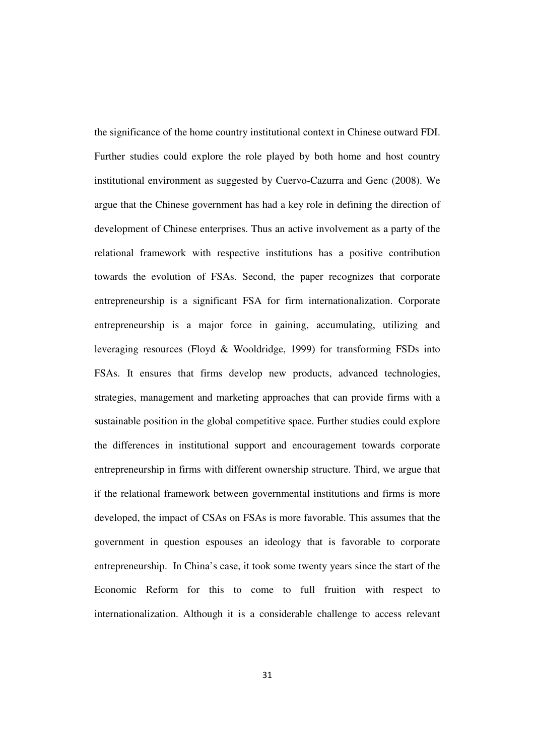the significance of the home country institutional context in Chinese outward FDI. Further studies could explore the role played by both home and host country institutional environment as suggested by Cuervo-Cazurra and Genc (2008). We argue that the Chinese government has had a key role in defining the direction of development of Chinese enterprises. Thus an active involvement as a party of the relational framework with respective institutions has a positive contribution towards the evolution of FSAs. Second, the paper recognizes that corporate entrepreneurship is a significant FSA for firm internationalization. Corporate entrepreneurship is a major force in gaining, accumulating, utilizing and leveraging resources (Floyd & Wooldridge, 1999) for transforming FSDs into FSAs. It ensures that firms develop new products, advanced technologies, strategies, management and marketing approaches that can provide firms with a sustainable position in the global competitive space. Further studies could explore the differences in institutional support and encouragement towards corporate entrepreneurship in firms with different ownership structure. Third, we argue that if the relational framework between governmental institutions and firms is more developed, the impact of CSAs on FSAs is more favorable. This assumes that the government in question espouses an ideology that is favorable to corporate entrepreneurship. In China's case, it took some twenty years since the start of the Economic Reform for this to come to full fruition with respect to internationalization. Although it is a considerable challenge to access relevant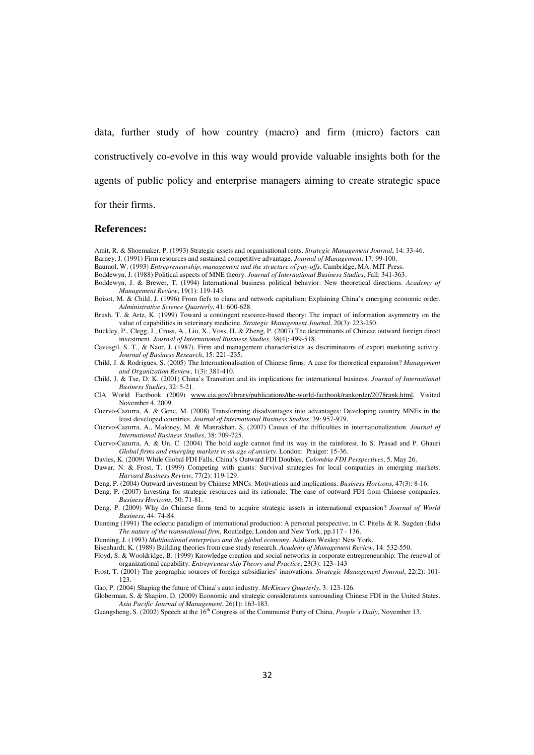data, further study of how country (macro) and firm (micro) factors can constructively co-evolve in this way would provide valuable insights both for the agents of public policy and enterprise managers aiming to create strategic space for their firms.

#### **References:**

Amit, R. & Shoemaker, P. (1993) Strategic assets and organisational rents. *Strategic Management Journal*, 14: 33-46. Barney, J. (1991) Firm resources and sustained competitive advantage. *Journal of Management*, 17: 99-100.

Baumol, W. (1993) *Entrepreneurship, management and the structure of pay-offs*. Cambridge, MA: MIT Press.

Boddewyn, J. (1988) Political aspects of MNE theory. *Journal of International Business Studies*, Fall: 341-363.

Boddewyn, J. & Brewer, T. (1994) International business political behavior: New theoretical directions. *Academy of Management Review*, 19(1): 119-143.

Boisot, M. & Child, J. (1996) From fiefs to clans and network capitalism: Explaining China's emerging economic order. *Administrative Science Quarterly*, 41: 600-628.

Brush, T. & Artz, K. (1999) Toward a contingent resource-based theory: The impact of information asymmetry on the value of capabilities in veterinary medicine. *Strategic Management Journal*, 20(3): 223-250.

Buckley, P., Clegg, J., Cross, A., Liu, X., Voss, H. & Zheng, P. (2007) The determinants of Chinese outward foreign direct investment. *Journal of International Business Studies*, 38(4): 499-518.

Cavusgil, S. T., & Naor, J. (1987). Firm and management characteristics as discriminators of export marketing activity. *Journal of Business Research*, 15: 221–235.

Child, J. & Rodrigues, S. (2005) The Internationalisation of Chinese firms: A case for theoretical expansion? *Management and Organization Review*, 1(3): 381-410.

Child, J. & Tse, D. K. (2001) China's Transition and its implications for international business. *Journal of International Business Studies*, 32: 5-21.

CIA World Factbook (2009) www.cia.gov/library/publications/the-world-factbook/rankorder/2078rank.html, Visited November 4, 2009.

Cuervo-Cazurra, A. & Genc, M. (2008) Transforming disadvantages into advantages: Developing country MNEs in the least developed countries. *Journal of International Business Studies*, 39: 957-979.

Cuervo-Cazurra, A., Maloney, M. & Manrakhan, S. (2007) Causes of the difficulties in internationalization. *Journal of International Business Studies*, 38: 709-725.

Cuervo-Cazurra, A. & Un, C. (2004) The bold eagle cannot find its way in the rainforest. In S. Prasad and P. Ghauri *Global firms and emerging markets in an age of anxiety*. London: Praiger: 15-36.

Davies, K. (2009) While Global FDI Falls, China's Outward FDI Doubles, *Colombia FDI Perspectives*, 5, May 26.

Dawar, N. & Frost, T. (1999) Competing with giants: Survival strategies for local companies in emerging markets. *Harvard Business Review*, 77(2): 119-129.

Deng, P. (2004) Outward investment by Chinese MNCs: Motivations and implications. *Business Horizons*, 47(3): 8-16.

Deng, P. (2007) Investing for strategic resources and its rationale: The case of outward FDI from Chinese companies. *Business Horizons*, 50: 71-81.

Deng, P. (2009) Why do Chinese firms tend to acquire strategic assets in international expansion? *Journal of World Business*, 44: 74-84.

Dunning (1991) The eclectic paradigm of international production: A personal perspective, in C. Pitelis & R. Sugden (Eds) *The nature of the transnational firm*, Routledge, London and New York, pp.117 - 136.

Dunning, J. (1993) *Multinational enterprises and the global economy*. Addison Wesley: New York.

Eisenhardt, K. (1989) Building theories from case study research. *Academy of Management Review*, 14: 532-550.

Floyd, S. & Wooldridge, B. (1999) Knowledge creation and social networks in corporate entrepreneurship: The renewal of organizational capability. *Entrepreneurship Theory and Practice*, 23(3): 123–143

Frost, T. (2001) The geographic sources of foreign subsidiaries' innovations. *Strategic Management Journal*, 22(2): 101- 123.

Gao, P. (2004) Shaping the future of China's auto industry. *McKinsey Quarterly*, 3: 123-126.

Globerman, S. & Shapiro, D. (2009) Economic and strategic considerations surrounding Chinese FDI in the United States. *Asia Pacific Journal of Management*, 26(1): 163-183.

Guangsheng, S. (2002) Speech at the 16<sup>th</sup> Congress of the Communist Party of China, *People's Daily*, November 13.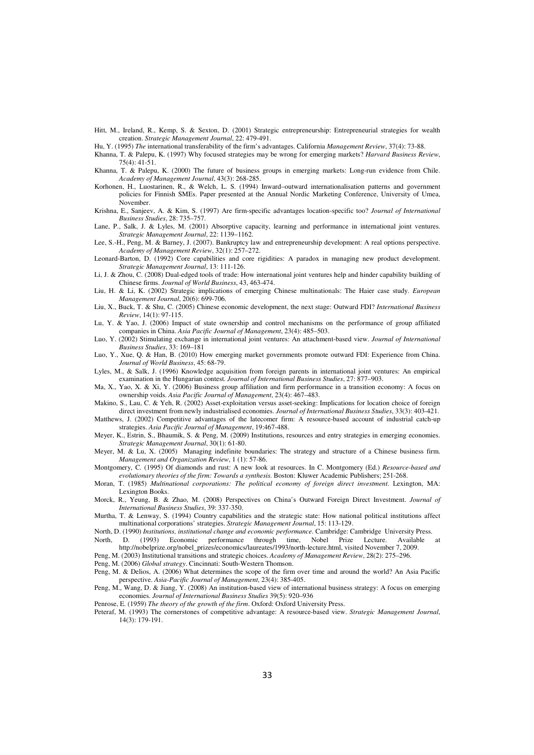- Hitt, M., Ireland, R., Kemp, S. & Sexton, D. (2001) Strategic entrepreneurship: Entrepreneurial strategies for wealth creation. *Strategic Management Journal*, 22: 479-491.
- Hu, Y. (1995) *The* international transferability of the firm's advantages. California *Management Review*, 37(4): 73-88.
- Khanna, T. & Palepu, K. (1997) Why focused strategies may be wrong for emerging markets? *Harvard Business Review*, 75(4): 41-51.
- Khanna, T. & Palepu, K. (2000) The future of business groups in emerging markets: Long-run evidence from Chile. *Academy of Management Journal*, 43(3): 268-285.
- Korhonen, H., Luostarinen, R., & Welch, L. S. (1994) Inward–outward internationalisation patterns and government policies for Finnish SMEs. Paper presented at the Annual Nordic Marketing Conference, University of Umea, November.
- Krishna, E., Sanjeev, A. & Kim, S. (1997) Are firm-specific advantages location-specific too? *Journal of International Business Studies*, 28: 735–757.
- Lane, P., Salk, J. & Lyles, M. (2001) Absorptive capacity, learning and performance in international joint ventures. *Strategic Management Journal*, 22: 1139–1162.
- Lee, S.-H., Peng, M. & Barney, J. (2007). Bankruptcy law and entrepreneurship development: A real options perspective. *Academy of Management Review*, 32(1): 257–272.
- Leonard-Barton, D. (1992) Core capabilities and core rigidities: A paradox in managing new product development. *Strategic Management Journal*, 13: 111-126.
- Li, J. & Zhou, C. (2008) Dual-edged tools of trade: How international joint ventures help and hinder capability building of Chinese firms. *Journal of World Business*, 43, 463-474.
- Liu, H. & Li, K. (2002) Strategic implications of emerging Chinese multinationals: The Haier case study. *European Management Journal*, 20(6): 699-706.
- Liu, X., Buck, T. & Shu, C. (2005) Chinese economic development, the next stage: Outward FDI? *International Business Review*, 14(1): 97-115.
- Lu, Y. & Yao, J. (2006) Impact of state ownership and control mechanisms on the performance of group affiliated companies in China. *Asia Pacific Journal of Management*, 23(4): 485–503.
- Luo, Y. (2002) Stimulating exchange in international joint ventures: An attachment-based view. *Journal of International Business Studies*, 33: 169–181
- Luo, Y., Xue, Q. & Han, B. (2010) How emerging market governments promote outward FDI: Experience from China. *Journal of World Business*, 45: 68-79.
- Lyles, M., & Salk, J. (1996) Knowledge acquisition from foreign parents in international joint ventures: An empirical examination in the Hungarian contest. *Journal of International Business Studies*, 27: 877–903.
- Ma, X., Yao, X. & Xi, Y. (2006) Business group affiliation and firm performance in a transition economy: A focus on ownership voids. *Asia Pacific Journal of Management*, 23(4): 467–483.
- Makino, S., Lau, C. & Yeh, R. (2002) Asset-exploitation versus asset-seeking: Implications for location choice of foreign direct investment from newly industrialised economies. *Journal of International Business Studies*, 33(3): 403-421.
- Matthews, J. (2002) Competitive advantages of the latecomer firm: A resource-based account of industrial catch-up strategies. *Asia Pacific Journal of Management*, 19:467-488.
- Meyer, K., Estrin, S., Bhaumik, S. & Peng, M. (2009) Institutions, resources and entry strategies in emerging economies. *Strategic Management Journal*, 30(1): 61-80.
- Meyer, M. & Lu, X. (2005) Managing indefinite boundaries: The strategy and structure of a Chinese business firm. *Management and Organization Review*, 1 (1): 57-86.
- Montgomery, C. (1995) Of diamonds and rust: A new look at resources. In C. Montgomery (Ed.) *Resource-based and evolutionary theories of the firm: Towards a synthesis.* Boston: Kluwer Academic Publishers; 251-268.
- Moran, T. (1985) *Multinational corporations: The political economy of foreign direct investment*. Lexington, MA: Lexington Books.
- Morck, R., Yeung, B. & Zhao, M. (2008) Perspectives on China's Outward Foreign Direct Investment. *Journal of International Business Studies*, 39: 337-350.
- Murtha, T. & Lenway, S. (1994) Country capabilities and the strategic state: How national political institutions affect multinational corporations' strategies. *Strategic Management Journal*, 15: 113-129.
- North, D. (1990) *Institutions, institutional change and economic performance.* Cambridge: Cambridge University Press.
- North, D. (1993) Economic performance through time, Nobel Prize Lecture. Available at http://nobelprize.org/nobel\_prizes/economics/laureates/1993/north-lecture.html, visited November 7, 2009.
- Peng, M. (2003) Institutional transitions and strategic choices. *Academy of Management Review*, 28(2): 275–296.
- Peng, M. (2006) *Global strategy*. Cincinnati: South-Western Thomson.
- Peng, M. & Delios, A. (2006) What determines the scope of the firm over time and around the world? An Asia Pacific perspective. *Asia-Pacific Journal of Management*, 23(4): 385-405.
- Peng, M., Wang, D. & Jiang, Y. (2008) An institution-based view of international business strategy: A focus on emerging economies. *Journal of International Business Studies* 39(5): 920–936
- Penrose, E. (1959) *The theory of the growth of the firm*. Oxford: Oxford University Press.
- Peteraf, M. (1993) The cornerstones of competitive advantage: A resource-based view. *Strategic Management Journal*, 14(3): 179-191.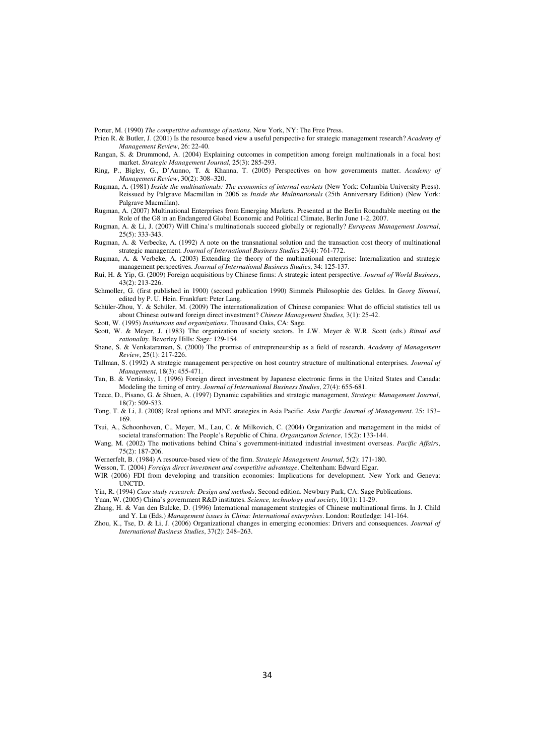Porter, M. (1990) *The competitive advantage of nations*. New York, NY: The Free Press.

- Prien R. & Butler, J. (2001) Is the resource based view a useful perspective for strategic management research? *Academy of Management Review*, 26: 22-40.
- Rangan, S. & Drummond, A. (2004) Explaining outcomes in competition among foreign multinationals in a focal host market. *Strategic Management Journal*, 25(3): 285-293.
- Ring, P., Bigley, G., D'Aunno, T. & Khanna, T. (2005) Perspectives on how governments matter. *Academy of Management Review*, 30(2): 308–320.
- Rugman, A. (1981) *Inside the multinationals: The economics of internal markets* (New York: Columbia University Press). Reissued by Palgrave Macmillan in 2006 as *Inside the Multinationals* (25th Anniversary Edition) (New York: Palgrave Macmillan).
- Rugman, A. (2007) Multinational Enterprises from Emerging Markets. Presented at the Berlin Roundtable meeting on the Role of the G8 in an Endangered Global Economic and Political Climate, Berlin June 1-2, 2007.

Rugman, A. & Li, J. (2007) Will China's multinationals succeed globally or regionally? *European Management Journal*, 25(5): 333-343.

Rugman, A. & Verbecke, A. (1992) A note on the transnational solution and the transaction cost theory of multinational strategic management. *Journal of International Business Studies* 23(4): 761-772.

Rugman, A. & Verbeke, A. (2003) Extending the theory of the multinational enterprise: Internalization and strategic management perspectives. *Journal of International Business Studies*, 34: 125-137.

- Rui, H. & Yip, G. (2009) Foreign acquisitions by Chinese firms: A strategic intent perspective. *Journal of World Business*, 43(2): 213-226.
- Schmoller, G. (first published in 1900) (second publication 1990) Simmels Philosophie des Geldes. In *Georg Simmel*, edited by P. U. Hein. Frankfurt: Peter Lang.

Schüler-Zhou, Y. & Schüler, M. (2009) The internationalization of Chinese companies: What do official statistics tell us about Chinese outward foreign direct investment? *Chinese Management Studies,* 3(1): 25-42.

Scott, W. (1995) *Institutions and organizations*. Thousand Oaks, CA: Sage.

Scott, W. & Meyer, J. (1983) The organization of society sectors. In J.W. Meyer & W.R. Scott (eds.) *Ritual and rationality.* Beverley Hills: Sage: 129-154.

- Shane, S. & Venkataraman, S. (2000) The promise of entrepreneurship as a field of research. *Academy of Management Review*, 25(1): 217-226.
- Tallman, S. (1992) A strategic management perspective on host country structure of multinational enterprises. *Journal of Management*, 18(3): 455-471.

Tan, B. & Vertinsky, I. (1996) Foreign direct investment by Japanese electronic firms in the United States and Canada: Modeling the timing of entry. *Journal of International Business Studies*, 27(4): 655-681.

Teece, D., Pisano, G. & Shuen, A. (1997) Dynamic capabilities and strategic management, *Strategic Management Journal*, 18(7): 509-533.

Tong, T. & Li, J. (2008) Real options and MNE strategies in Asia Pacific. *Asia Pacific Journal of Management*. 25: 153– 169.

Tsui, A., Schoonhoven, C., Meyer, M., Lau, C. & Milkovich, C. (2004) Organization and management in the midst of societal transformation: The People's Republic of China. *Organization Science*, 15(2): 133-144.

- Wang, M. (2002) The motivations behind China's government-initiated industrial investment overseas. *Pacific Affairs*, 75(2): 187-206.
- Wernerfelt, B. (1984) A resource-based view of the firm. *Strategic Management Journal*, 5(2): 171-180.

Wesson, T. (2004) *Foreign direct investment and competitive advantage*. Cheltenham: Edward Elgar.

WIR (2006) FDI from developing and transition economies: Implications for development. New York and Geneva: UNCTD.

Yin, R. (1994) *Case study research: Design and methods*. Second edition. Newbury Park, CA: Sage Publications.

- Yuan, W. (2005) China's government R&D institutes. *Science, technology and society*, 10(1): 11-29. Zhang, H. & Van den Bulcke, D. (1996) International management strategies of Chinese multinational firms. In J. Child
- and Y. Lu (Eds.) *Management issues in China: International enterprises*. London: Routledge: 141-164. Zhou, K., Tse, D. & Li, J. (2006) Organizational changes in emerging economies: Drivers and consequences. *Journal of*

*International Business Studies*, 37(2): 248–263.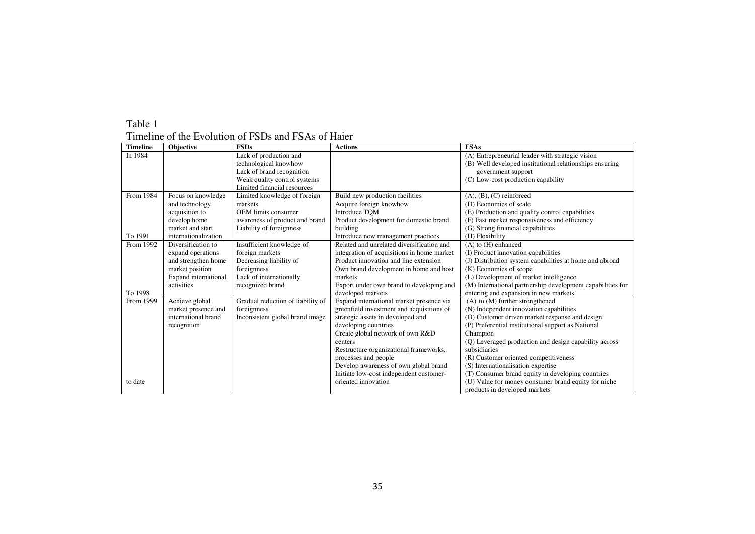#### Timeline of the Evolution of FSDs and FSAs of Haier

| <b>Timeline</b> | Objective            | <b>FSDs</b>                       | <b>Actions</b>                             | <b>FSAs</b>                                                |
|-----------------|----------------------|-----------------------------------|--------------------------------------------|------------------------------------------------------------|
| In 1984         |                      | Lack of production and            |                                            | (A) Entrepreneurial leader with strategic vision           |
|                 |                      | technological knowhow             |                                            | (B) Well developed institutional relationships ensuring    |
|                 |                      | Lack of brand recognition         |                                            | government support                                         |
|                 |                      | Weak quality control systems      |                                            | (C) Low-cost production capability                         |
|                 |                      | Limited financial resources       |                                            |                                                            |
| From 1984       | Focus on knowledge   | Limited knowledge of foreign      | Build new production facilities            | $(A), (B), (C)$ reinforced                                 |
|                 | and technology       | markets                           | Acquire foreign knowhow                    | (D) Economies of scale                                     |
|                 | acquisition to       | <b>OEM</b> limits consumer        | <b>Introduce TOM</b>                       | (E) Production and quality control capabilities            |
|                 | develop home         | awareness of product and brand    | Product development for domestic brand     | (F) Fast market responsiveness and efficiency              |
|                 | market and start     | Liability of foreignness          | building                                   | (G) Strong financial capabilities                          |
| To 1991         | internationalization |                                   | Introduce new management practices         | (H) Flexibility                                            |
| From 1992       | Diversification to   | Insufficient knowledge of         | Related and unrelated diversification and  | $(A)$ to $(H)$ enhanced                                    |
|                 | expand operations    | foreign markets                   | integration of acquisitions in home market | (I) Product innovation capabilities                        |
|                 | and strengthen home  | Decreasing liability of           | Product innovation and line extension      | (J) Distribution system capabilities at home and abroad    |
|                 | market position      | foreignness                       | Own brand development in home and host     | (K) Economies of scope                                     |
|                 | Expand international | Lack of internationally           | markets                                    | (L) Development of market intelligence                     |
|                 | activities           | recognized brand                  | Export under own brand to developing and   | (M) International partnership development capabilities for |
| To 1998         |                      |                                   | developed markets                          | entering and expansion in new markets                      |
| From 1999       | Achieve global       | Gradual reduction of liability of | Expand international market presence via   | $(A)$ to $(M)$ further strengthened                        |
|                 | market presence and  | foreignness                       | greenfield investment and acquisitions of  | (N) Independent innovation capabilities                    |
|                 | international brand  | Inconsistent global brand image   | strategic assets in developed and          | (O) Customer driven market response and design             |
|                 | recognition          |                                   | developing countries                       | (P) Preferential institutional support as National         |
|                 |                      |                                   | Create global network of own R&D           | Champion                                                   |
|                 |                      |                                   | centers                                    | (Q) Leveraged production and design capability across      |
|                 |                      |                                   | Restructure organizational frameworks,     | subsidiaries                                               |
|                 |                      |                                   | processes and people                       | (R) Customer oriented competitiveness                      |
|                 |                      |                                   | Develop awareness of own global brand      | (S) Internationalisation expertise                         |
|                 |                      |                                   | Initiate low-cost independent customer-    | (T) Consumer brand equity in developing countries          |
| to date         |                      |                                   | oriented innovation                        | (U) Value for money consumer brand equity for niche        |
|                 |                      |                                   |                                            | products in developed markets                              |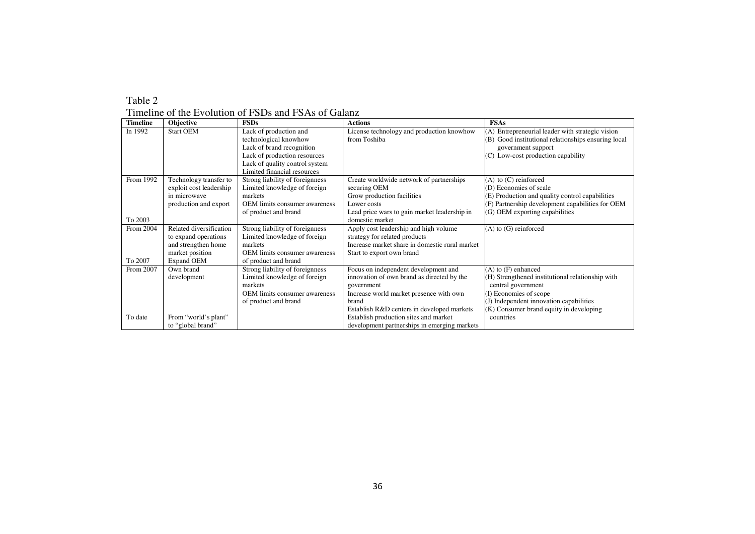| Table 2                                              |
|------------------------------------------------------|
| Timeline of the Evolution of FSDs and FSAs of Galanz |

| <b>Timeline</b> | Objective               | <b>FSDs</b>                          | <b>Actions</b>                                 | <b>FSAs</b>                                         |
|-----------------|-------------------------|--------------------------------------|------------------------------------------------|-----------------------------------------------------|
| In 1992         | <b>Start OEM</b>        | Lack of production and               | License technology and production knowhow      | (A) Entrepreneurial leader with strategic vision    |
|                 |                         | technological knowhow                | from Toshiba                                   | (B) Good institutional relationships ensuring local |
|                 |                         | Lack of brand recognition            |                                                | government support                                  |
|                 |                         | Lack of production resources         |                                                | (C) Low-cost production capability                  |
|                 |                         | Lack of quality control system       |                                                |                                                     |
|                 |                         | Limited financial resources          |                                                |                                                     |
| From 1992       | Technology transfer to  | Strong liability of foreignness      | Create worldwide network of partnerships       | $(A)$ to $(C)$ reinforced                           |
|                 | exploit cost leadership | Limited knowledge of foreign         | securing OEM                                   | (D) Economies of scale                              |
|                 | in microwave            | markets                              | Grow production facilities                     | (E) Production and quality control capabilities     |
|                 | production and export   | <b>OEM</b> limits consumer awareness | Lower costs                                    | (F) Partnership development capabilities for OEM    |
|                 |                         | of product and brand                 | Lead price wars to gain market leadership in   | (G) OEM exporting capabilities                      |
| To 2003         |                         |                                      | domestic market                                |                                                     |
| From 2004       | Related diversification | Strong liability of foreignness      | Apply cost leadership and high volume          | $(A)$ to $(G)$ reinforced                           |
|                 | to expand operations    | Limited knowledge of foreign         | strategy for related products                  |                                                     |
|                 | and strengthen home     | markets                              | Increase market share in domestic rural market |                                                     |
|                 | market position         | OEM limits consumer awareness        | Start to export own brand                      |                                                     |
| To 2007         | <b>Expand OEM</b>       | of product and brand                 |                                                |                                                     |
| From 2007       | Own brand               | Strong liability of foreignness      | Focus on independent development and           | $(A)$ to $(F)$ enhanced                             |
|                 | development             | Limited knowledge of foreign         | innovation of own brand as directed by the     | (H) Strengthened institutional relationship with    |
|                 |                         | markets                              | government                                     | central government                                  |
|                 |                         | <b>OEM</b> limits consumer awareness | Increase world market presence with own        | I) Economies of scope                               |
|                 |                         | of product and brand                 | brand                                          | (J) Independent innovation capabilities             |
|                 |                         |                                      | Establish R&D centers in developed markets     | (K) Consumer brand equity in developing             |
| To date         | From "world's plant"    |                                      | Establish production sites and market          | countries                                           |
|                 | to "global brand"       |                                      | development partnerships in emerging markets   |                                                     |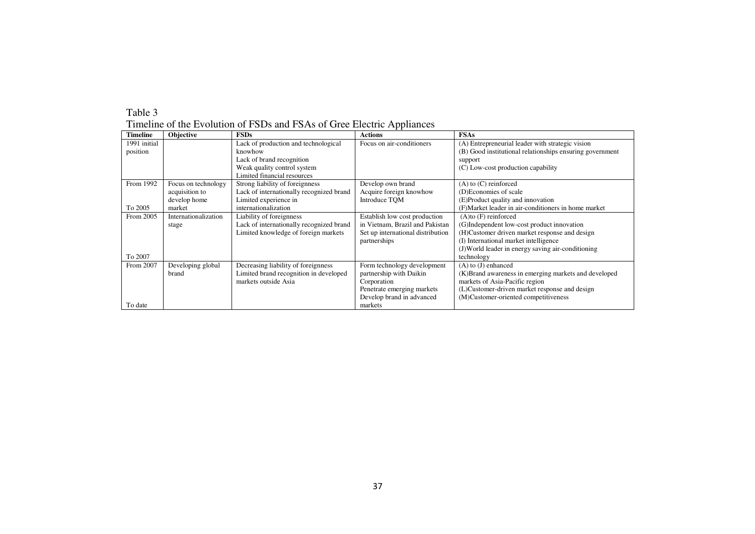Timeline of the Evolution of FSDs and FSAs of Gree Electric Appliances

| <b>Timeline</b> | Objective            | <b>FSDs</b>                              | <b>Actions</b>                    | <b>FSAs</b>                                              |
|-----------------|----------------------|------------------------------------------|-----------------------------------|----------------------------------------------------------|
| 1991 initial    |                      | Lack of production and technological     | Focus on air-conditioners         | (A) Entrepreneurial leader with strategic vision         |
| position        |                      | knowhow                                  |                                   | (B) Good institutional relationships ensuring government |
|                 |                      | Lack of brand recognition                |                                   | support                                                  |
|                 |                      | Weak quality control system              |                                   | (C) Low-cost production capability                       |
|                 |                      | Limited financial resources              |                                   |                                                          |
| From 1992       | Focus on technology  | Strong liability of foreignness          | Develop own brand                 | $(A)$ to $(C)$ reinforced                                |
|                 | acquisition to       | Lack of internationally recognized brand | Acquire foreign knowhow           | (D)Economies of scale                                    |
|                 | develop home         | Limited experience in                    | Introduce TQM                     | (E)Product quality and innovation                        |
| To 2005         | market               | internationalization                     |                                   | (F)Market leader in air-conditioners in home market      |
| From 2005       | Internationalization | Liability of foreignness                 | Establish low cost production     | $(A)$ to $(F)$ reinforced                                |
|                 | stage                | Lack of internationally recognized brand | in Vietnam, Brazil and Pakistan   | (G)Independent low-cost product innovation               |
|                 |                      | Limited knowledge of foreign markets     | Set up international distribution | (H)Customer driven market response and design            |
|                 |                      |                                          | partnerships                      | (I) International market intelligence                    |
|                 |                      |                                          |                                   | (J)World leader in energy saving air-conditioning        |
| To 2007         |                      |                                          |                                   | technology                                               |
| From 2007       | Developing global    | Decreasing liability of foreignness      | Form technology development       | $(A)$ to $(J)$ enhanced                                  |
|                 | brand                | Limited brand recognition in developed   | partnership with Daikin           | (K) Brand awareness in emerging markets and developed    |
|                 |                      | markets outside Asia                     | Corporation                       | markets of Asia-Pacific region                           |
|                 |                      |                                          | Penetrate emerging markets        | (L)Customer-driven market response and design            |
|                 |                      |                                          | Develop brand in advanced         | (M)Customer-oriented competitiveness                     |
| To date         |                      |                                          | markets                           |                                                          |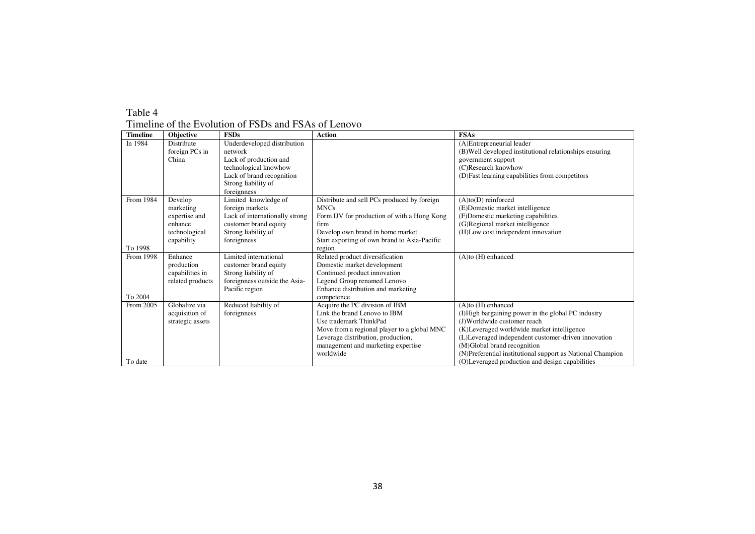Timeline of the Evolution of FSDs and FSAs of Lenovo

| <b>Timeline</b> | <b>Objective</b> | <b>FSDs</b>                    | <b>Action</b>                                | <b>FSAs</b>                                                |
|-----------------|------------------|--------------------------------|----------------------------------------------|------------------------------------------------------------|
| In 1984         | Distribute       | Underdeveloped distribution    |                                              | (A)Entrepreneurial leader                                  |
|                 | foreign PCs in   | network                        |                                              | (B) Well developed institutional relationships ensuring    |
|                 | China            | Lack of production and         |                                              | government support                                         |
|                 |                  | technological knowhow          |                                              | (C)Research knowhow                                        |
|                 |                  | Lack of brand recognition      |                                              | (D) Fast learning capabilities from competitors            |
|                 |                  | Strong liability of            |                                              |                                                            |
|                 |                  | foreignness                    |                                              |                                                            |
| From 1984       | Develop          | Limited knowledge of           | Distribute and sell PCs produced by foreign  | $(A)$ to $(D)$ reinforced                                  |
|                 | marketing        | foreign markets                | <b>MNCs</b>                                  | (E)Domestic market intelligence                            |
|                 | expertise and    | Lack of internationally strong | Form IJV for production of with a Hong Kong  | (F)Domestic marketing capabilities                         |
|                 | enhance          | customer brand equity          | firm                                         | (G)Regional market intelligence                            |
|                 | technological    | Strong liability of            | Develop own brand in home market             | (H)Low cost independent innovation                         |
|                 | capability       | foreignness                    | Start exporting of own brand to Asia-Pacific |                                                            |
| To 1998         |                  |                                | region                                       |                                                            |
| From 1998       | Enhance          | Limited international          | Related product diversification              | $(A)$ to $(H)$ enhanced                                    |
|                 | production       | customer brand equity          | Domestic market development                  |                                                            |
|                 | capabilities in  | Strong liability of            | Continued product innovation                 |                                                            |
|                 | related products | foreignness outside the Asia-  | Legend Group renamed Lenovo                  |                                                            |
|                 |                  | Pacific region                 | Enhance distribution and marketing           |                                                            |
| To 2004         |                  |                                | competence                                   |                                                            |
| From 2005       | Globalize via    | Reduced liability of           | Acquire the PC division of IBM               | (A)to (H) enhanced                                         |
|                 | acquisition of   | foreignness                    | Link the brand Lenovo to IBM                 | (I)High bargaining power in the global PC industry         |
|                 | strategic assets |                                | Use trademark ThinkPad                       | (J)Worldwide customer reach                                |
|                 |                  |                                | Move from a regional player to a global MNC  | (K)Leveraged worldwide market intelligence                 |
|                 |                  |                                | Leverage distribution, production,           | (L)Leveraged independent customer-driven innovation        |
|                 |                  |                                | management and marketing expertise           | (M)Global brand recognition                                |
|                 |                  |                                | worldwide                                    | (N)Preferential institutional support as National Champion |
| To date         |                  |                                |                                              | (O)Leveraged production and design capabilities            |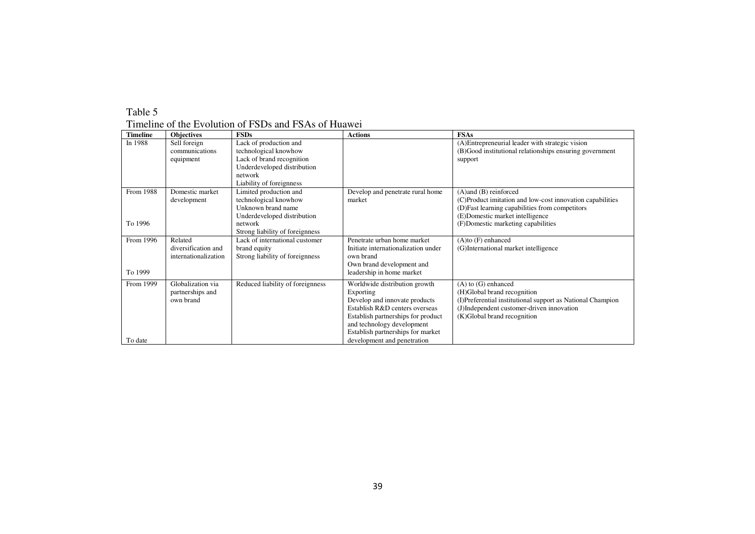| <b>Timeline</b>      | <b>Objectives</b>                                      | <b>FSDs</b>                                                                                                                                        | <b>Actions</b>                                                                                                                                                                                                                                        | <b>FSAs</b>                                                                                                                                                                                                         |
|----------------------|--------------------------------------------------------|----------------------------------------------------------------------------------------------------------------------------------------------------|-------------------------------------------------------------------------------------------------------------------------------------------------------------------------------------------------------------------------------------------------------|---------------------------------------------------------------------------------------------------------------------------------------------------------------------------------------------------------------------|
| In 1988              | Sell foreign<br>communications<br>equipment            | Lack of production and<br>technological knowhow<br>Lack of brand recognition<br>Underdeveloped distribution<br>network<br>Liability of foreignness |                                                                                                                                                                                                                                                       | (A) Entrepreneurial leader with strategic vision<br>(B)Good institutional relationships ensuring government<br>support                                                                                              |
| From 1988<br>To 1996 | Domestic market<br>development                         | Limited production and<br>technological knowhow<br>Unknown brand name<br>Underdeveloped distribution<br>network<br>Strong liability of foreignness | Develop and penetrate rural home<br>market                                                                                                                                                                                                            | $(A)$ and $(B)$ reinforced<br>(C)Product imitation and low-cost innovation capabilities<br>(D) Fast learning capabilities from competitors<br>(E)Domestic market intelligence<br>(F)Domestic marketing capabilities |
| From 1996<br>To 1999 | Related<br>diversification and<br>internationalization | Lack of international customer<br>brand equity<br>Strong liability of foreignness                                                                  | Penetrate urban home market<br>Initiate internationalization under<br>own brand<br>Own brand development and<br>leadership in home market                                                                                                             | $(A)$ to $(F)$ enhanced<br>(G)International market intelligence                                                                                                                                                     |
| From 1999<br>To date | Globalization via<br>partnerships and<br>own brand     | Reduced liability of foreignness                                                                                                                   | Worldwide distribution growth<br>Exporting<br>Develop and innovate products<br>Establish R&D centers overseas<br>Establish partnerships for product<br>and technology development<br>Establish partnerships for market<br>development and penetration | $(A)$ to $(G)$ enhanced<br>(H)Global brand recognition<br>(I)Preferential institutional support as National Champion<br>(J)Independent customer-driven innovation<br>(K)Global brand recognition                    |

Timeline of the Evolution of FSDs and FSAs of Huawei